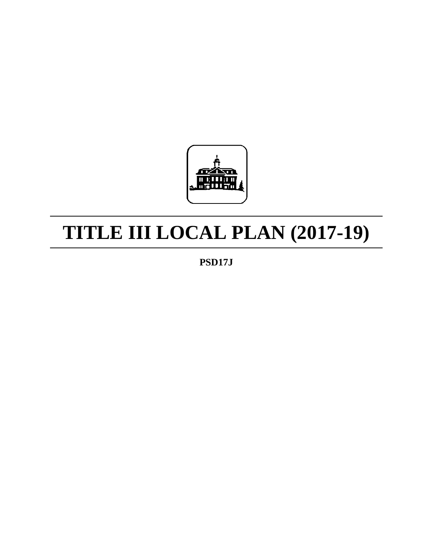

# **TITLE III LOCAL PLAN (2017-19)**

**PSD17J**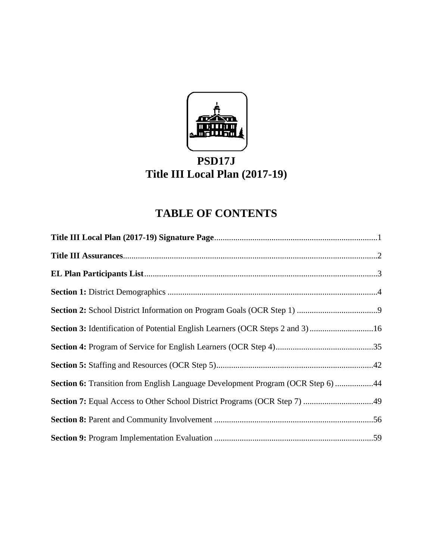

# **PSD17J Title III Local Plan (2017-19)**

# **TABLE OF CONTENTS**

| Section 3: Identification of Potential English Learners (OCR Steps 2 and 3) 16  |  |
|---------------------------------------------------------------------------------|--|
|                                                                                 |  |
|                                                                                 |  |
| Section 6: Transition from English Language Development Program (OCR Step 6) 44 |  |
|                                                                                 |  |
|                                                                                 |  |
|                                                                                 |  |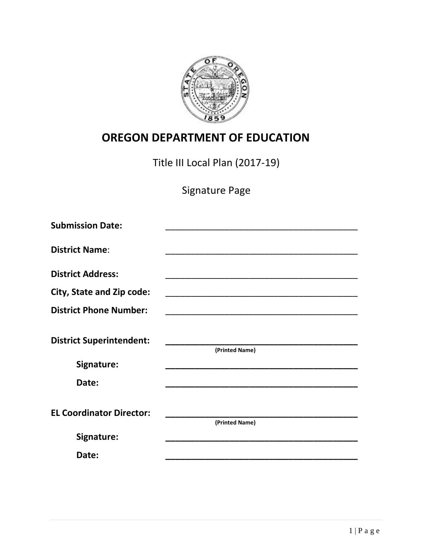

# **OREGON DEPARTMENT OF EDUCATION**

Title III Local Plan (2017-19)

Signature Page

| <b>Submission Date:</b>         |                                                                                                                       |
|---------------------------------|-----------------------------------------------------------------------------------------------------------------------|
|                                 |                                                                                                                       |
| <b>District Name:</b>           |                                                                                                                       |
| <b>District Address:</b>        |                                                                                                                       |
| City, State and Zip code:       |                                                                                                                       |
| <b>District Phone Number:</b>   | <u> 1989 - Johann John Harry, mars eta bat eta bat eta bat eta bat ez arteko harta zen bat ez arteko harta zen</u>    |
|                                 |                                                                                                                       |
| <b>District Superintendent:</b> |                                                                                                                       |
|                                 | (Printed Name)                                                                                                        |
| Signature:                      | <u> 1989 - Johann John Harry Barbara, mars a bhaile an t-Iomraidh an t-Iomraidh an t-Iomraidh an t-Iomraidh an t-</u> |
| Date:                           |                                                                                                                       |
|                                 |                                                                                                                       |
| <b>EL Coordinator Director:</b> |                                                                                                                       |
|                                 | (Printed Name)                                                                                                        |
| Signature:                      |                                                                                                                       |
| Date:                           |                                                                                                                       |
|                                 |                                                                                                                       |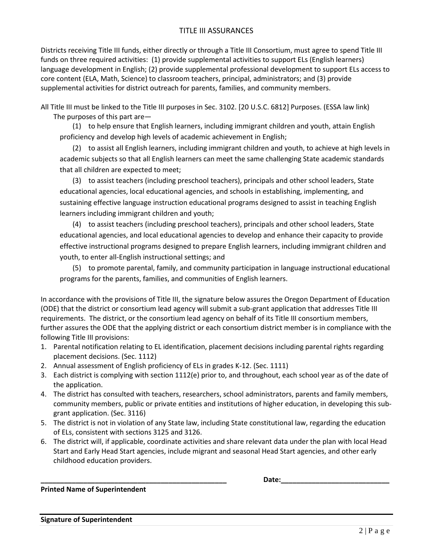#### TITLE III ASSURANCES

Districts receiving Title III funds, either directly or through a Title III Consortium, must agree to spend Title III funds on three required activities: (1) provide supplemental activities to support ELs (English learners) language development in English; (2) provide supplemental professional development to support ELs access to core content (ELA, Math, Science) to classroom teachers, principal, administrators; and (3) provide supplemental activities for district outreach for parents, families, and community members.

All Title III must be linked to the Title III purposes in Sec. 3102. [20 U.S.C. 6812] Purposes. [\(ESSA law link\)](https://www2.ed.gov/documents/essa-act-of-1965.pdf) The purposes of this part are—

(1) to help ensure that English learners, including immigrant children and youth, attain English proficiency and develop high levels of academic achievement in English;

(2) to assist all English learners, including immigrant children and youth, to achieve at high levels in academic subjects so that all English learners can meet the same challenging State academic standards that all children are expected to meet;

(3) to assist teachers (including preschool teachers), principals and other school leaders, State educational agencies, local educational agencies, and schools in establishing, implementing, and sustaining effective language instruction educational programs designed to assist in teaching English learners including immigrant children and youth;

(4) to assist teachers (including preschool teachers), principals and other school leaders, State educational agencies, and local educational agencies to develop and enhance their capacity to provide effective instructional programs designed to prepare English learners, including immigrant children and youth, to enter all-English instructional settings; and

(5) to promote parental, family, and community participation in language instructional educational programs for the parents, families, and communities of English learners.

In accordance with the provisions of Title III, the signature below assures the Oregon Department of Education (ODE) that the district or consortium lead agency will submit a sub-grant application that addresses Title III requirements. The district, or the consortium lead agency on behalf of its Title III consortium members, further assures the ODE that the applying district or each consortium district member is in compliance with the following Title III provisions:

- 1. Parental notification relating to EL identification, placement decisions including parental rights regarding placement decisions. (Sec. 1112)
- 2. Annual assessment of English proficiency of ELs in grades K-12. (Sec. 1111)
- 3. Each district is complying with section 1112(e) prior to, and throughout, each school year as of the date of the application.
- 4. The district has consulted with teachers, researchers, school administrators, parents and family members, community members, public or private entities and institutions of higher education, in developing this subgrant application. (Sec. 3116)
- 5. The district is not in violation of any State law, including State constitutional law, regarding the education of ELs, consistent with sections 3125 and 3126.
- 6. The district will, if applicable, coordinate activities and share relevant data under the plan with local Head Start and Early Head Start agencies, include migrant and seasonal Head Start agencies, and other early childhood education providers.

**\_\_\_\_\_\_\_\_\_\_\_\_\_\_\_\_\_\_\_\_\_\_\_\_\_\_\_\_\_\_\_\_\_\_\_\_\_\_\_\_\_\_\_\_\_\_\_\_ Date:\_\_\_\_\_\_\_\_\_\_\_\_\_\_\_\_\_\_\_\_\_\_\_\_\_\_\_\_**

**Printed Name of Superintendent** 

**Signature of Superintendent**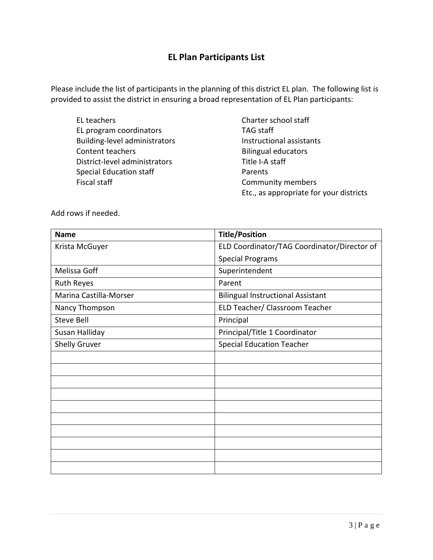#### **EL Plan Participants List**

Please include the list of participants in the planning of this district EL plan. The following list is provided to assist the district in ensuring a broad representation of EL Plan participants:

EL teachers **Charter school staff** EL program coordinators TAG staff Building-level administrators and instructional assistants Content teachers **Bilingual educators Bilingual educators** District-level administrators Title I-A staff Special Education staff **Parents** Fiscal staff **Community members** 

Etc., as appropriate for your districts

Add rows if needed.

| <b>Name</b>            | <b>Title/Position</b>                       |
|------------------------|---------------------------------------------|
| Krista McGuyer         | ELD Coordinator/TAG Coordinator/Director of |
|                        | <b>Special Programs</b>                     |
| Melissa Goff           | Superintendent                              |
| <b>Ruth Reyes</b>      | Parent                                      |
| Marina Castilla-Morser | <b>Bilingual Instructional Assistant</b>    |
| Nancy Thompson         | ELD Teacher/ Classroom Teacher              |
| <b>Steve Bell</b>      | Principal                                   |
| Susan Halliday         | Principal/Title 1 Coordinator               |
| <b>Shelly Gruver</b>   | <b>Special Education Teacher</b>            |
|                        |                                             |
|                        |                                             |
|                        |                                             |
|                        |                                             |
|                        |                                             |
|                        |                                             |
|                        |                                             |
|                        |                                             |
|                        |                                             |
|                        |                                             |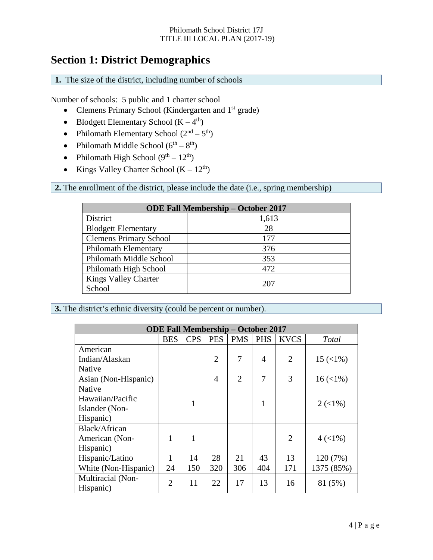### **Section 1: District Demographics**

**1.** The size of the district, including number of schools

Number of schools: 5 public and 1 charter school

- Clemens Primary School (Kindergarten and  $1<sup>st</sup>$  grade)
- Blodgett Elementary School  $(K 4<sup>th</sup>)$
- Philomath Elementary School  $(2<sup>nd</sup> 5<sup>th</sup>)$
- Philomath Middle School  $(6^{th} 8^{th})$
- Philomath High School  $(9<sup>th</sup> 12<sup>th</sup>)$
- Kings Valley Charter School  $(K 12<sup>th</sup>)$

**2.** The enrollment of the district, please include the date (i.e., spring membership)

| <b>ODE Fall Membership - October 2017</b> |       |  |  |  |
|-------------------------------------------|-------|--|--|--|
| District                                  | 1,613 |  |  |  |
| <b>Blodgett Elementary</b>                | 28    |  |  |  |
| <b>Clemens Primary School</b>             | 177   |  |  |  |
| <b>Philomath Elementary</b>               | 376   |  |  |  |
| Philomath Middle School                   | 353   |  |  |  |
| Philomath High School                     | 472   |  |  |  |
| <b>Kings Valley Charter</b>               | 207   |  |  |  |
| School                                    |       |  |  |  |

**3.** The district's ethnic diversity (could be percent or number).

| <b>ODE Fall Membership - October 2017</b> |                |            |                |                |            |                |                                 |
|-------------------------------------------|----------------|------------|----------------|----------------|------------|----------------|---------------------------------|
|                                           | <b>BES</b>     | <b>CPS</b> | <b>PES</b>     | <b>PMS</b>     | <b>PHS</b> | <b>KVCS</b>    | Total                           |
| American                                  |                |            |                |                |            |                |                                 |
| Indian/Alaskan                            |                |            | $\overline{2}$ | 7              | 4          | $\overline{2}$ | $15 \left( \frac{1}{6} \right)$ |
| Native                                    |                |            |                |                |            |                |                                 |
| Asian (Non-Hispanic)                      |                |            | 4              | $\overline{2}$ | 7          | 3              | $16 \left( \frac{1}{6} \right)$ |
| Native                                    |                |            |                |                |            |                |                                 |
| Hawaiian/Pacific                          |                | 1          |                |                | 1          |                | $2 (< 1\%)$                     |
| Islander (Non-                            |                |            |                |                |            |                |                                 |
| Hispanic)                                 |                |            |                |                |            |                |                                 |
| Black/African                             |                |            |                |                |            |                |                                 |
| American (Non-                            | 1              | 1          |                |                |            | $\overline{2}$ | $4 (< 1\%)$                     |
| Hispanic)                                 |                |            |                |                |            |                |                                 |
| Hispanic/Latino                           | 1              | 14         | 28             | 21             | 43         | 13             | 120 (7%)                        |
| White (Non-Hispanic)                      | 24             | 150        | 320            | 306            | 404        | 171            | 1375 (85%)                      |
| Multiracial (Non-                         | $\overline{2}$ | 11         | 22             | 17             | 13         |                |                                 |
| Hispanic)                                 |                |            |                |                |            | 16             | 81 (5%)                         |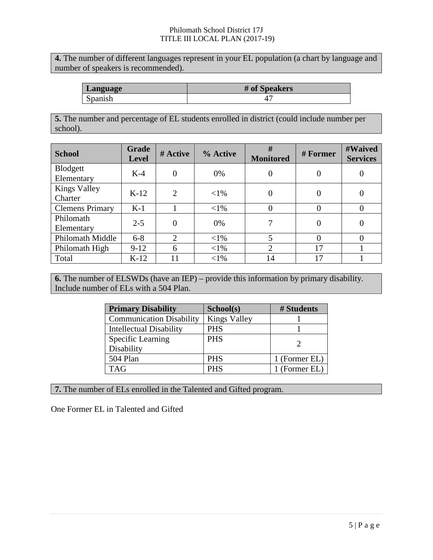**4.** The number of different languages represent in your EL population (a chart by language and number of speakers is recommended).

| Language | # of Speakers |
|----------|---------------|
| Spanish  |               |

**5.** The number and percentage of EL students enrolled in district (could include number per school).

| <b>School</b>                  | Grade<br><b>Level</b> | # Active | % Active | #<br><b>Monitored</b> | # Former         | #Waived<br><b>Services</b> |
|--------------------------------|-----------------------|----------|----------|-----------------------|------------------|----------------------------|
| Blodgett<br>Elementary         | $K-4$                 | 0        | 0%       |                       | $\boldsymbol{0}$ | 0                          |
| <b>Kings Valley</b><br>Charter | $K-12$                | 2        | ${<}1\%$ | 0                     | $\theta$         | $\theta$                   |
| <b>Clemens Primary</b>         | $K-1$                 |          | $<$ 1%   |                       | $\theta$         | $\theta$                   |
| Philomath<br>Elementary        | $2 - 5$               | $\Omega$ | 0%       | 7                     | $\theta$         | 0                          |
| <b>Philomath Middle</b>        | $6 - 8$               | 2        | $<$ 1%   | 5                     | $\Omega$         | $_{0}$                     |
| Philomath High                 | $9 - 12$              | 6        | $<$ 1%   | 2                     | 17               |                            |
| Total                          | $K-12$                |          | ${<}1\%$ | 14                    | 17               |                            |

**6.** The number of ELSWDs (have an IEP) – provide this information by primary disability. Include number of ELs with a 504 Plan.

| <b>Primary Disability</b>       | School(s)           | # Students    |
|---------------------------------|---------------------|---------------|
| <b>Communication Disability</b> | <b>Kings Valley</b> |               |
| <b>Intellectual Disability</b>  | <b>PHS</b>          |               |
| Specific Learning               | <b>PHS</b>          |               |
| Disability                      |                     |               |
| 504 Plan                        | <b>PHS</b>          | 1 (Former EL) |
| <b>TAG</b>                      | <b>PHS</b>          | 1 (Former EL) |

**7.** The number of ELs enrolled in the Talented and Gifted program.

One Former EL in Talented and Gifted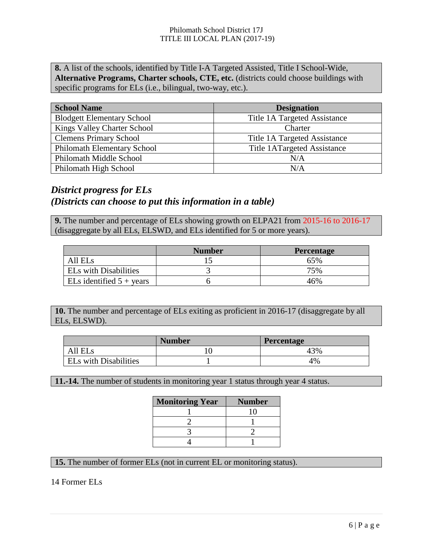**8.** A list of the schools, identified by Title I-A Targeted Assisted, Title I School-Wide, **Alternative Programs, Charter schools, CTE, etc.** (districts could choose buildings with specific programs for ELs (i.e., bilingual, two-way, etc.).

| <b>School Name</b>                 | <b>Designation</b>           |
|------------------------------------|------------------------------|
| <b>Blodgett Elementary School</b>  | Title 1A Targeted Assistance |
| Kings Valley Charter School        | Charter                      |
| <b>Clemens Primary School</b>      | Title 1A Targeted Assistance |
| <b>Philomath Elementary School</b> | Title 1ATargeted Assistance  |
| Philomath Middle School            | N/A                          |
| Philomath High School              | N/A                          |

### *District progress for ELs (Districts can choose to put this information in a table)*

**9.** The number and percentage of ELs showing growth on ELPA21 from 2015-16 to 2016-17 (disaggregate by all ELs, ELSWD, and ELs identified for 5 or more years).

|                                   | <b>Number</b> | <b>Percentage</b> |
|-----------------------------------|---------------|-------------------|
| All ELs                           |               | 65%               |
| <b>ELs with Disabilities</b>      |               | 75%               |
| ELs identified $5 + \text{years}$ |               | 46%               |

**10.** The number and percentage of ELs exiting as proficient in 2016-17 (disaggregate by all ELs, ELSWD).

|                              | <b>Number</b> | <b>Percentage</b> |
|------------------------------|---------------|-------------------|
| All ELs                      |               | 43%               |
| <b>ELs with Disabilities</b> |               | 4%                |

**11.-14.** The number of students in monitoring year 1 status through year 4 status.

| <b>Monitoring Year</b> | <b>Number</b> |
|------------------------|---------------|
|                        |               |
|                        |               |
|                        |               |
|                        |               |

**15.** The number of former ELs (not in current EL or monitoring status).

14 Former ELs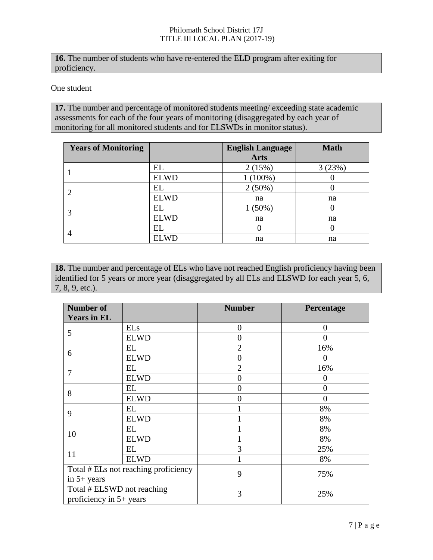**16.** The number of students who have re-entered the ELD program after exiting for proficiency.

One student

**17.** The number and percentage of monitored students meeting/ exceeding state academic assessments for each of the four years of monitoring (disaggregated by each year of monitoring for all monitored students and for ELSWDs in monitor status).

| <b>Years of Monitoring</b> |             | <b>English Language</b> | <b>Math</b> |
|----------------------------|-------------|-------------------------|-------------|
|                            |             | <b>Arts</b>             |             |
|                            | EL          | 2(15%)                  | 3(23%)      |
|                            | <b>ELWD</b> | $(100\%)$               |             |
| $\overline{2}$             | EL          | $2(50\%)$               |             |
|                            | <b>ELWD</b> | na                      | na          |
| 3                          | EL          | $1(50\%)$               |             |
|                            | <b>ELWD</b> | na                      | na          |
|                            | EL          |                         |             |
| 4                          | <b>ELWD</b> | na                      | na          |

18. The number and percentage of ELs who have not reached English proficiency having been identified for 5 years or more year (disaggregated by all ELs and ELSWD for each year 5, 6, 7, 8, 9, etc.).

| <b>Number of</b><br><b>Years in EL</b> |             | <b>Number</b>    | Percentage     |
|----------------------------------------|-------------|------------------|----------------|
|                                        | <b>ELs</b>  | $\boldsymbol{0}$ | $\overline{0}$ |
| 5                                      | <b>ELWD</b> | $\theta$         | 0              |
| 6                                      | EL          | $\overline{2}$   | 16%            |
|                                        | <b>ELWD</b> | $\theta$         | 0              |
| 7                                      | EL          | $\overline{2}$   | 16%            |
|                                        | <b>ELWD</b> | $\overline{0}$   | $\theta$       |
| 8                                      | EL          | $\theta$         | 0              |
|                                        | <b>ELWD</b> | 0                | $\overline{0}$ |
| 9                                      | EL          |                  | 8%             |
|                                        | <b>ELWD</b> |                  | 8%             |
| 10                                     | EL          |                  | 8%             |
|                                        | <b>ELWD</b> |                  | 8%             |
| 11                                     | EL          | 3                | 25%            |
|                                        | <b>ELWD</b> |                  | 8%             |
| Total # ELs not reaching proficiency   |             | 9                | 75%            |
| in $5+$ years                          |             |                  |                |
| Total # ELSWD not reaching             |             | 3                | 25%            |
| proficiency in $5+$ years              |             |                  |                |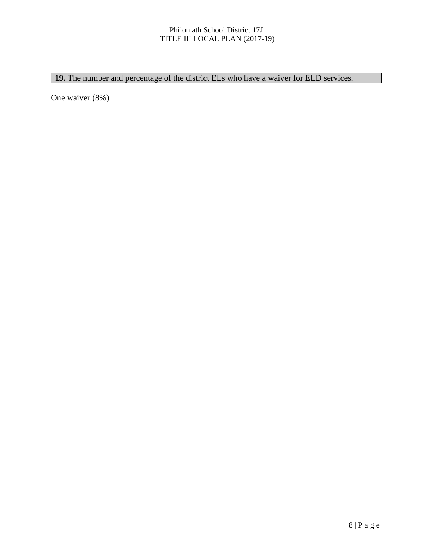#### 19. The number and percentage of the district ELs who have a waiver for ELD services.

One waiver (8%)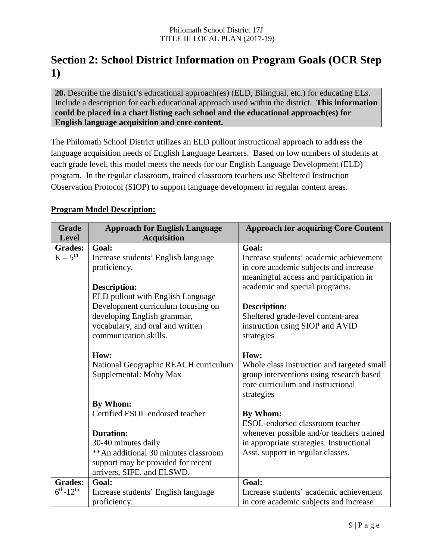# **Section 2: School District Information on Program Goals (OCR Step 1)**

**20.** Describe the district's educational approach(es) (ELD, Bilingual, etc.) for educating ELs. Include a description for each educational approach used within the district. **This information could be placed in a chart listing each school and the educational approach(es) for English language acquisition and core content.**

The Philomath School District utilizes an ELD pullout instructional approach to address the language acquisition needs of English Language Learners. Based on low numbers of students at each grade level, this model meets the needs for our English Language Development (ELD) program. In the regular classroom, trained classroom teachers use Sheltered Instruction Observation Protocol (SIOP) to support language development in regular content areas.

|  | <b>Program Model Description:</b> |
|--|-----------------------------------|
|  |                                   |

| <b>Grade</b>       | <b>Approach for English Language</b>  | <b>Approach for acquiring Core Content</b> |
|--------------------|---------------------------------------|--------------------------------------------|
| <b>Level</b>       | <b>Acquisition</b>                    |                                            |
| <b>Grades:</b>     | <b>Goal:</b>                          | Goal:                                      |
| $K-5^{th}$         | Increase students' English language   | Increase students' academic achievement    |
|                    | proficiency.                          | in core academic subjects and increase     |
|                    |                                       | meaningful access and participation in     |
|                    | Description:                          | academic and special programs.             |
|                    | ELD pullout with English Language     |                                            |
|                    | Development curriculum focusing on    | <b>Description:</b>                        |
|                    | developing English grammar,           | Sheltered grade-level content-area         |
|                    | vocabulary, and oral and written      | instruction using SIOP and AVID            |
|                    | communication skills.                 | strategies                                 |
|                    |                                       |                                            |
|                    | How:                                  | How:                                       |
|                    | National Geographic REACH curriculum  | Whole class instruction and targeted small |
|                    | Supplemental: Moby Max                | group interventions using research based   |
|                    |                                       | core curriculum and instructional          |
|                    |                                       | strategies                                 |
|                    | By Whom:                              |                                            |
|                    | Certified ESOL endorsed teacher       | By Whom:                                   |
|                    |                                       | ESOL-endorsed classroom teacher            |
|                    | <b>Duration:</b>                      | whenever possible and/or teachers trained  |
|                    | 30-40 minutes daily                   | in appropriate strategies. Instructional   |
|                    | ** An additional 30 minutes classroom | Asst. support in regular classes.          |
|                    | support may be provided for recent    |                                            |
|                    | arrivers, SIFE, and ELSWD.            |                                            |
| <b>Grades:</b>     | <b>Goal:</b>                          | <b>Goal:</b>                               |
| $6^{th} - 12^{th}$ | Increase students' English language   | Increase students' academic achievement    |
|                    | proficiency.                          | in core academic subjects and increase     |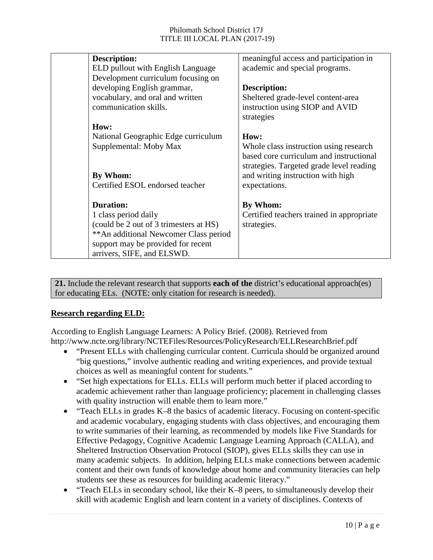| <b>Description:</b>                    | meaningful access and participation in    |
|----------------------------------------|-------------------------------------------|
| ELD pullout with English Language      | academic and special programs.            |
| Development curriculum focusing on     |                                           |
| developing English grammar,            | Description:                              |
| vocabulary, and oral and written       | Sheltered grade-level content-area        |
| communication skills.                  | instruction using SIOP and AVID           |
|                                        | strategies                                |
| How:                                   |                                           |
| National Geographic Edge curriculum    | How:                                      |
| Supplemental: Moby Max                 | Whole class instruction using research    |
|                                        | based core curriculum and instructional   |
|                                        | strategies. Targeted grade level reading  |
| By Whom:                               | and writing instruction with high         |
| Certified ESOL endorsed teacher        | expectations.                             |
|                                        |                                           |
| <b>Duration:</b>                       | By Whom:                                  |
| 1 class period daily                   | Certified teachers trained in appropriate |
| (could be 2 out of 3 trimesters at HS) | strategies.                               |
| ** An additional Newcomer Class period |                                           |
| support may be provided for recent     |                                           |
| arrivers, SIFE, and ELSWD.             |                                           |

**21.** Include the relevant research that supports **each of the** district's educational approach(es) for educating ELs. (NOTE: only citation for research is needed).

#### **Research regarding ELD:**

According to English Language Learners: A Policy Brief. (2008). Retrieved from http://www.ncte.org/library/NCTEFiles/Resources/PolicyResearch/ELLResearchBrief.pdf

- "Present ELLs with challenging curricular content. Curricula should be organized around "big questions," involve authentic reading and writing experiences, and provide textual choices as well as meaningful content for students."
- "Set high expectations for ELLs. ELLs will perform much better if placed according to academic achievement rather than language proficiency; placement in challenging classes with quality instruction will enable them to learn more."
- "Teach ELLs in grades K–8 the basics of academic literacy. Focusing on content-specific and academic vocabulary, engaging students with class objectives, and encouraging them to write summaries of their learning, as recommended by models like Five Standards for Effective Pedagogy, Cognitive Academic Language Learning Approach (CALLA), and Sheltered Instruction Observation Protocol (SIOP), gives ELLs skills they can use in many academic subjects. In addition, helping ELLs make connections between academic content and their own funds of knowledge about home and community literacies can help students see these as resources for building academic literacy."
- "Teach ELLs in secondary school, like their K–8 peers, to simultaneously develop their skill with academic English and learn content in a variety of disciplines. Contexts of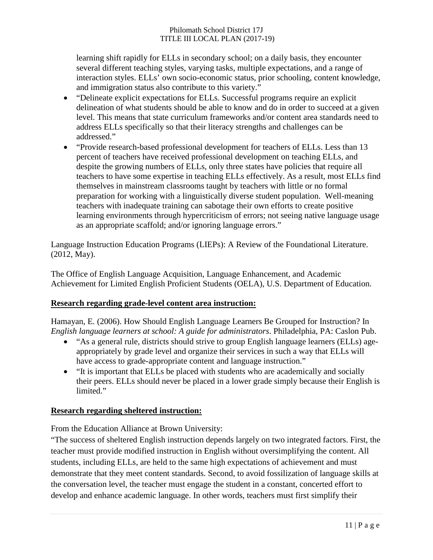learning shift rapidly for ELLs in secondary school; on a daily basis, they encounter several different teaching styles, varying tasks, multiple expectations, and a range of interaction styles. ELLs' own socio-economic status, prior schooling, content knowledge, and immigration status also contribute to this variety."

- "Delineate explicit expectations for ELLs. Successful programs require an explicit delineation of what students should be able to know and do in order to succeed at a given level. This means that state curriculum frameworks and/or content area standards need to address ELLs specifically so that their literacy strengths and challenges can be addressed."
- "Provide research-based professional development for teachers of ELLs. Less than 13 percent of teachers have received professional development on teaching ELLs, and despite the growing numbers of ELLs, only three states have policies that require all teachers to have some expertise in teaching ELLs effectively. As a result, most ELLs find themselves in mainstream classrooms taught by teachers with little or no formal preparation for working with a linguistically diverse student population. Well-meaning teachers with inadequate training can sabotage their own efforts to create positive learning environments through hypercriticism of errors; not seeing native language usage as an appropriate scaffold; and/or ignoring language errors."

Language Instruction Education Programs (LIEPs): A Review of the Foundational Literature. (2012, May).

The Office of English Language Acquisition, Language Enhancement, and Academic Achievement for Limited English Proficient Students (OELA), U.S. Department of Education.

#### **Research regarding grade-level content area instruction:**

Hamayan, E. (2006). How Should English Language Learners Be Grouped for Instruction? In *English language learners at school: A guide for administrators*. Philadelphia, PA: Caslon Pub.

- "As a general rule, districts should strive to group English language learners (ELLs) ageappropriately by grade level and organize their services in such a way that ELLs will have access to grade-appropriate content and language instruction."
- "It is important that ELLs be placed with students who are academically and socially their peers. ELLs should never be placed in a lower grade simply because their English is limited."

#### **Research regarding sheltered instruction:**

From the Education Alliance at Brown University:

"The success of sheltered English instruction depends largely on two integrated factors. First, the teacher must provide modified instruction in English without oversimplifying the content. All students, including ELLs, are held to the same high expectations of achievement and must demonstrate that they meet content standards. Second, to avoid fossilization of language skills at the conversation level, the teacher must engage the student in a constant, concerted effort to develop and enhance academic language. In other words, teachers must first simplify their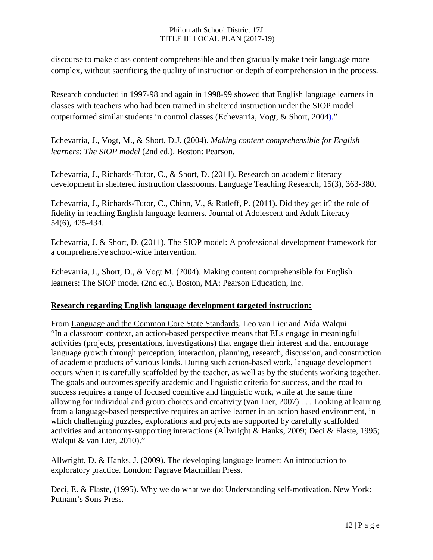discourse to make class content comprehensible and then gradually make their language more complex, without sacrificing the quality of instruction or depth of comprehension in the process.

Research conducted in 1997-98 and again in 1998-99 showed that English language learners in classes with teachers who had been trained in sheltered instruction under the SIOP model outperformed similar students in control classes [\(Echevarria, Vogt, & Short, 2004\)."](http://www.brown.edu/academics/education-alliance/teaching-diverse-learners/sheltered-instruction-effective#echevarria)

Echevarria, J., Vogt, M., & Short, D.J. (2004). *Making content comprehensible for English learners: The SIOP model* (2nd ed.). Boston: Pearson.

Echevarria, J., Richards-Tutor, C., & Short, D. (2011). Research on academic literacy development in sheltered instruction classrooms. Language Teaching Research, 15(3), 363-380.

Echevarria, J., Richards-Tutor, C., Chinn, V., & Ratleff, P. (2011). Did they get it? the role of fidelity in teaching English language learners. Journal of Adolescent and Adult Literacy 54(6), 425-434.

Echevarria, J. & Short, D. (2011). The SIOP model: A professional development framework for a comprehensive school-wide intervention.

Echevarria, J., Short, D., & Vogt M. (2004). Making content comprehensible for English learners: The SIOP model (2nd ed.). Boston, MA: Pearson Education, Inc.

#### **Research regarding English language development targeted instruction:**

From Language and the Common Core State Standards. Leo van Lier and Aída Walqui "In a classroom context, an action-based perspective means that ELs engage in meaningful activities (projects, presentations, investigations) that engage their interest and that encourage language growth through perception, interaction, planning, research, discussion, and construction of academic products of various kinds. During such action-based work, language development occurs when it is carefully scaffolded by the teacher, as well as by the students working together. The goals and outcomes specify academic and linguistic criteria for success, and the road to success requires a range of focused cognitive and linguistic work, while at the same time allowing for individual and group choices and creativity (van Lier, 2007) . . . Looking at learning from a language-based perspective requires an active learner in an action based environment, in which challenging puzzles, explorations and projects are supported by carefully scaffolded activities and autonomy-supporting interactions (Allwright & Hanks, 2009; Deci & Flaste, 1995; Walqui & van Lier, 2010)."

Allwright, D. & Hanks, J. (2009). The developing language learner: An introduction to exploratory practice. London: Pagrave Macmillan Press.

Deci, E. & Flaste, (1995). Why we do what we do: Understanding self-motivation. New York: Putnam's Sons Press.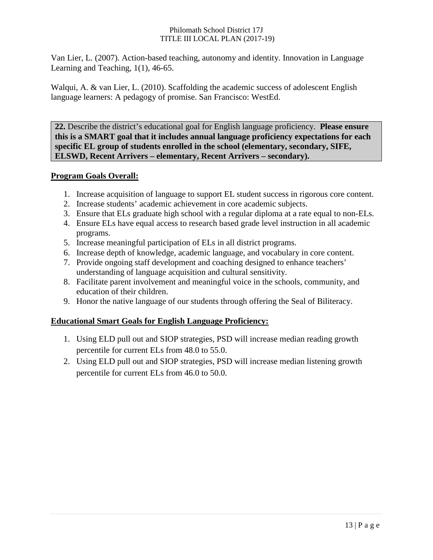Van Lier, L. (2007). Action-based teaching, autonomy and identity. Innovation in Language Learning and Teaching, 1(1), 46-65.

Walqui, A. & van Lier, L. (2010). Scaffolding the academic success of adolescent English language learners: A pedagogy of promise. San Francisco: WestEd.

**22.** Describe the district's educational goal for English language proficiency. **Please ensure this is a SMART goal that it includes annual language proficiency expectations for each specific EL group of students enrolled in the school (elementary, secondary, SIFE, ELSWD, Recent Arrivers – elementary, Recent Arrivers – secondary).**

#### **Program Goals Overall:**

- 1. Increase acquisition of language to support EL student success in rigorous core content.
- 2. Increase students' academic achievement in core academic subjects.
- 3. Ensure that ELs graduate high school with a regular diploma at a rate equal to non-ELs.
- 4. Ensure ELs have equal access to research based grade level instruction in all academic programs.
- 5. Increase meaningful participation of ELs in all district programs.
- 6. Increase depth of knowledge, academic language, and vocabulary in core content.
- 7. Provide ongoing staff development and coaching designed to enhance teachers' understanding of language acquisition and cultural sensitivity.
- 8. Facilitate parent involvement and meaningful voice in the schools, community, and education of their children.
- 9. Honor the native language of our students through offering the Seal of Biliteracy.

#### **Educational Smart Goals for English Language Proficiency:**

- 1. Using ELD pull out and SIOP strategies, PSD will increase median reading growth percentile for current ELs from 48.0 to 55.0.
- 2. Using ELD pull out and SIOP strategies, PSD will increase median listening growth percentile for current ELs from 46.0 to 50.0.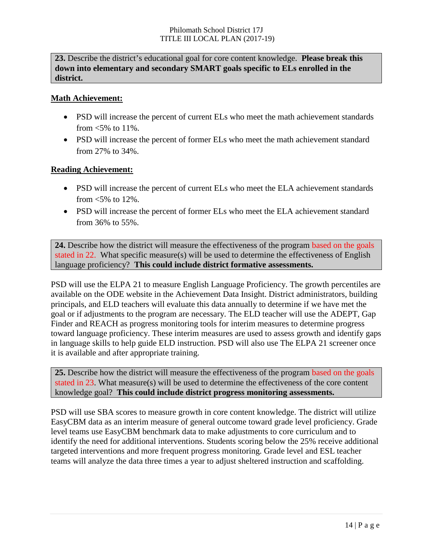**23.** Describe the district's educational goal for core content knowledge. **Please break this down into elementary and secondary SMART goals specific to ELs enrolled in the district.**

#### **Math Achievement:**

- PSD will increase the percent of current ELs who meet the math achievement standards from  $\leq 5\%$  to 11%.
- PSD will increase the percent of former ELs who meet the math achievement standard from 27% to 34%.

#### **Reading Achievement:**

- PSD will increase the percent of current ELs who meet the ELA achievement standards from  $\leq 5\%$  to 12%.
- PSD will increase the percent of former ELs who meet the ELA achievement standard from 36% to 55%.

**24.** Describe how the district will measure the effectiveness of the program based on the goals stated in 22. What specific measure(s) will be used to determine the effectiveness of English language proficiency? **This could include district formative assessments.**

PSD will use the ELPA 21 to measure English Language Proficiency. The growth percentiles are available on the ODE website in the Achievement Data Insight. District administrators, building principals, and ELD teachers will evaluate this data annually to determine if we have met the goal or if adjustments to the program are necessary. The ELD teacher will use the ADEPT, Gap Finder and REACH as progress monitoring tools for interim measures to determine progress toward language proficiency. These interim measures are used to assess growth and identify gaps in language skills to help guide ELD instruction. PSD will also use The ELPA 21 screener once it is available and after appropriate training.

**25.** Describe how the district will measure the effectiveness of the program based on the goals stated in 23. What measure(s) will be used to determine the effectiveness of the core content knowledge goal? **This could include district progress monitoring assessments.**

PSD will use SBA scores to measure growth in core content knowledge. The district will utilize EasyCBM data as an interim measure of general outcome toward grade level proficiency. Grade level teams use EasyCBM benchmark data to make adjustments to core curriculum and to identify the need for additional interventions. Students scoring below the 25% receive additional targeted interventions and more frequent progress monitoring. Grade level and ESL teacher teams will analyze the data three times a year to adjust sheltered instruction and scaffolding.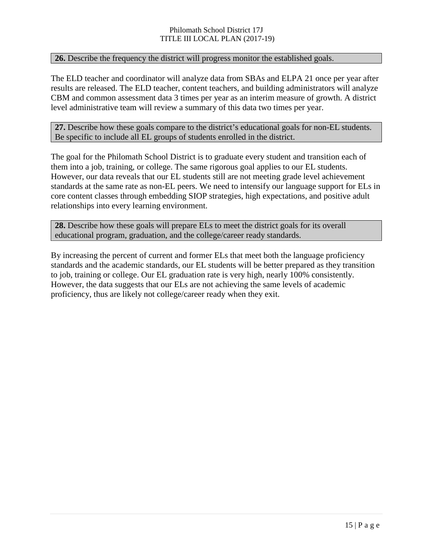#### **26.** Describe the frequency the district will progress monitor the established goals.

The ELD teacher and coordinator will analyze data from SBAs and ELPA 21 once per year after results are released. The ELD teacher, content teachers, and building administrators will analyze CBM and common assessment data 3 times per year as an interim measure of growth. A district level administrative team will review a summary of this data two times per year.

**27.** Describe how these goals compare to the district's educational goals for non-EL students. Be specific to include all EL groups of students enrolled in the district.

The goal for the Philomath School District is to graduate every student and transition each of them into a job, training, or college. The same rigorous goal applies to our EL students. However, our data reveals that our EL students still are not meeting grade level achievement standards at the same rate as non-EL peers. We need to intensify our language support for ELs in core content classes through embedding SIOP strategies, high expectations, and positive adult relationships into every learning environment.

**28.** Describe how these goals will prepare ELs to meet the district goals for its overall educational program, graduation, and the college/career ready standards.

By increasing the percent of current and former ELs that meet both the language proficiency standards and the academic standards, our EL students will be better prepared as they transition to job, training or college. Our EL graduation rate is very high, nearly 100% consistently. However, the data suggests that our ELs are not achieving the same levels of academic proficiency, thus are likely not college/career ready when they exit.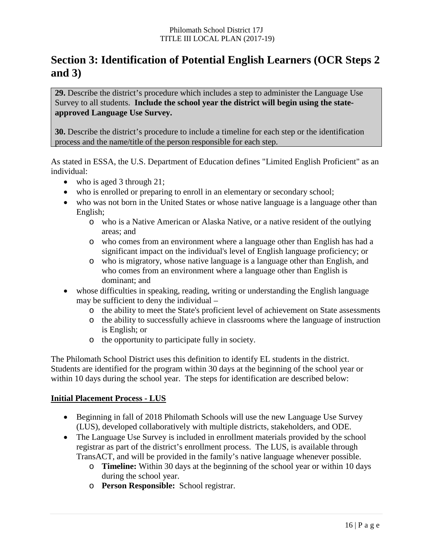# **Section 3: Identification of Potential English Learners (OCR Steps 2 and 3)**

**29.** Describe the district's procedure which includes a step to administer the Language Use Survey to all students. **Include the school year the district will begin using the stateapproved Language Use Survey.**

**30.** Describe the district's procedure to include a timeline for each step or the identification process and the name/title of the person responsible for each step.

As stated in ESSA, the U.S. Department of Education defines "Limited English Proficient" as an individual:

- who is aged 3 through 21;
- who is enrolled or preparing to enroll in an elementary or secondary school;
- who was not born in the United States or whose native language is a language other than English;
	- o who is a Native American or Alaska Native, or a native resident of the outlying areas; and
	- o who comes from an environment where a language other than English has had a significant impact on the individual's level of English language proficiency; or
	- o who is migratory, whose native language is a language other than English, and who comes from an environment where a language other than English is dominant; and
- whose difficulties in speaking, reading, writing or understanding the English language may be sufficient to deny the individual –
	- o the ability to meet the State's proficient level of achievement on State assessments
	- o the ability to successfully achieve in classrooms where the language of instruction is English; or
	- o the opportunity to participate fully in society.

The Philomath School District uses this definition to identify EL students in the district. Students are identified for the program within 30 days at the beginning of the school year or within 10 days during the school year. The steps for identification are described below:

#### **Initial Placement Process - LUS**

- Beginning in fall of 2018 Philomath Schools will use the new Language Use Survey (LUS), developed collaboratively with multiple districts, stakeholders, and ODE.
- The Language Use Survey is included in enrollment materials provided by the school registrar as part of the district's enrollment process. The LUS, is available through TransACT, and will be provided in the family's native language whenever possible.
	- o **Timeline:** Within 30 days at the beginning of the school year or within 10 days during the school year.
	- o **Person Responsible:** School registrar.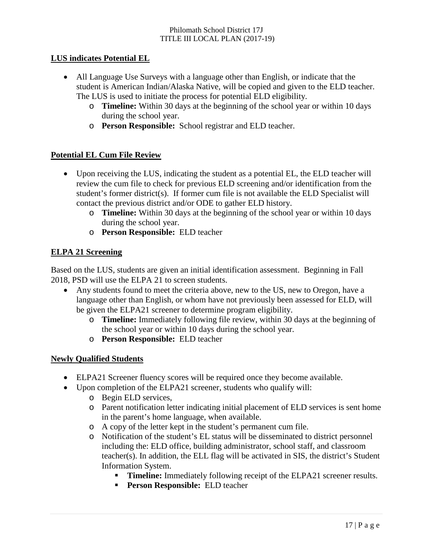#### **LUS indicates Potential EL**

- All Language Use Surveys with a language other than English, or indicate that the student is American Indian/Alaska Native, will be copied and given to the ELD teacher. The LUS is used to initiate the process for potential ELD eligibility.
	- o **Timeline:** Within 30 days at the beginning of the school year or within 10 days during the school year.
	- o **Person Responsible:** School registrar and ELD teacher.

#### **Potential EL Cum File Review**

- Upon receiving the LUS, indicating the student as a potential EL, the ELD teacher will review the cum file to check for previous ELD screening and/or identification from the student's former district(s). If former cum file is not available the  $ELD$  Specialist will contact the previous district and/or ODE to gather ELD history.
	- o **Timeline:** Within 30 days at the beginning of the school year or within 10 days during the school year.
	- o **Person Responsible:** ELD teacher

#### **ELPA 21 Screening**

Based on the LUS, students are given an initial identification assessment. Beginning in Fall 2018, PSD will use the ELPA 21 to screen students.

- Any students found to meet the criteria above, new to the US, new to Oregon, have a language other than English, or whom have not previously been assessed for ELD, will be given the ELPA21 screener to determine program eligibility.
	- o **Timeline:** Immediately following file review, within 30 days at the beginning of the school year or within 10 days during the school year.
	- o **Person Responsible:** ELD teacher

#### **Newly Qualified Students**

- ELPA21 Screener fluency scores will be required once they become available.
- Upon completion of the ELPA21 screener, students who qualify will:
	- o Begin ELD services,
	- o Parent notification letter indicating initial placement of ELD services is sent home in the parent's home language, when available.
	- o A copy of the letter kept in the student's permanent cum file.
	- o Notification of the student's EL status will be disseminated to district personnel including the: ELD office, building administrator, school staff, and classroom teacher(s). In addition, the ELL flag will be activated in SIS, the district's Student Information System.
		- **Timeline:** Immediately following receipt of the ELPA21 screener results.
		- **Person Responsible:** ELD teacher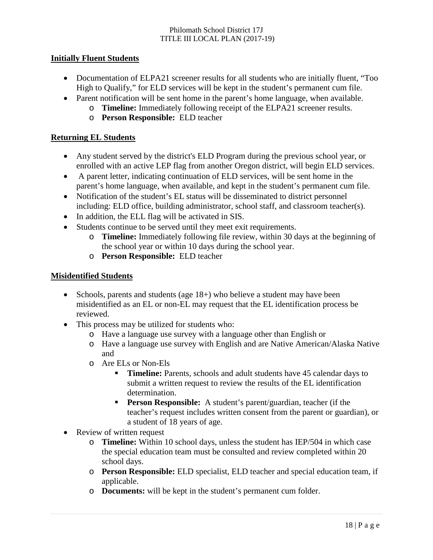#### **Initially Fluent Students**

- Documentation of ELPA21 screener results for all students who are initially fluent, "Too High to Qualify," for ELD services will be kept in the student's permanent cum file.
- Parent notification will be sent home in the parent's home language, when available.
	- o **Timeline:** Immediately following receipt of the ELPA21 screener results.
		- o **Person Responsible:** ELD teacher

#### **Returning EL Students**

- Any student served by the district's ELD Program during the previous school year, or enrolled with an active LEP flag from another Oregon district, will begin ELD services.
- A parent letter, indicating continuation of ELD services, will be sent home in the parent's home language, when available, and kept in the student's permanent cum file.
- Notification of the student's EL status will be disseminated to district personnel including: ELD office, building administrator, school staff, and classroom teacher(s).
- In addition, the ELL flag will be activated in SIS.
- Students continue to be served until they meet exit requirements.
	- o **Timeline:** Immediately following file review, within 30 days at the beginning of the school year or within 10 days during the school year.
	- o **Person Responsible:** ELD teacher

#### **Misidentified Students**

- Schools, parents and students (age 18+) who believe a student may have been misidentified as an EL or non-EL may request that the EL identification process be reviewed.
- This process may be utilized for students who:
	- o Have a language use survey with a language other than English or
	- o Have a language use survey with English and are Native American/Alaska Native and
	- o Are ELs or Non-Els
		- **Timeline:** Parents, schools and adult students have 45 calendar days to submit a written request to review the results of the EL identification determination.
		- **Person Responsible:** A student's parent/guardian, teacher (if the teacher's request includes written consent from the parent or guardian), or a student of 18 years of age.
- Review of written request
	- o **Timeline:** Within 10 school days, unless the student has IEP/504 in which case the special education team must be consulted and review completed within 20 school days.
	- o **Person Responsible:** ELD specialist, ELD teacher and special education team, if applicable.
	- o **Documents:** will be kept in the student's permanent cum folder.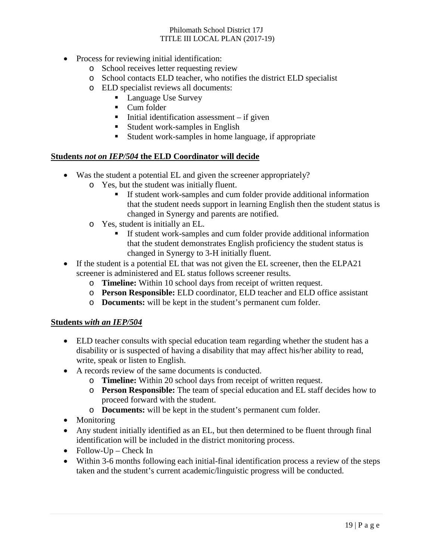- Process for reviewing initial identification:
	- o School receives letter requesting review
	- o School contacts ELD teacher, who notifies the district ELD specialist
	- o ELD specialist reviews all documents:
		- **Language Use Survey**
		- Cum folder
		- $\blacksquare$  Initial identification assessment if given
		- **Student work-samples in English**
		- Student work-samples in home language, if appropriate

#### **Students** *not on IEP/504* **the ELD Coordinator will decide**

- Was the student a potential EL and given the screener appropriately?
	- o Yes, but the student was initially fluent.
		- If student work-samples and cum folder provide additional information that the student needs support in learning English then the student status is changed in Synergy and parents are notified.
	- o Yes, student is initially an EL.
		- If student work-samples and cum folder provide additional information that the student demonstrates English proficiency the student status is changed in Synergy to 3-H initially fluent.
- If the student is a potential EL that was not given the EL screener, then the ELPA21 screener is administered and EL status follows screener results.
	- o **Timeline:** Within 10 school days from receipt of written request.
	- o **Person Responsible:** ELD coordinator, ELD teacher and ELD office assistant
	- o **Documents:** will be kept in the student's permanent cum folder.

#### **Students** *with an IEP/504*

- ELD teacher consults with special education team regarding whether the student has a disability or is suspected of having a disability that may affect his/her ability to read, write, speak or listen to English.
- A records review of the same documents is conducted.
	- o **Timeline:** Within 20 school days from receipt of written request.
	- o **Person Responsible:** The team of special education and EL staff decides how to proceed forward with the student.
	- o **Documents:** will be kept in the student's permanent cum folder.
- Monitoring
- Any student initially identified as an EL, but then determined to be fluent through final identification will be included in the district monitoring process.
- Follow-Up Check In
- Within 3-6 months following each initial-final identification process a review of the steps taken and the student's current academic/linguistic progress will be conducted.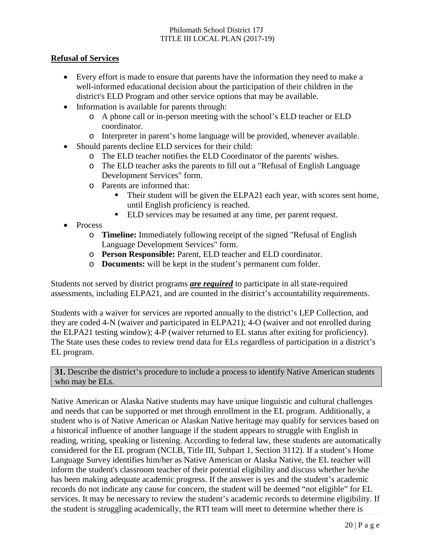#### **Refusal of Services**

- Every effort is made to ensure that parents have the information they need to make a well-informed educational decision about the participation of their children in the district's ELD Program and other service options that may be available.
- Information is available for parents through:
	- o A phone call or in-person meeting with the school's ELD teacher or ELD coordinator.
	- o Interpreter in parent's home language will be provided, whenever available.
- Should parents decline ELD services for their child:
	- o The ELD teacher notifies the ELD Coordinator of the parents' wishes.
	- o The ELD teacher asks the parents to fill out a "Refusal of English Language Development Services" form.
	- o Parents are informed that:
		- Their student will be given the ELPA21 each year, with scores sent home, until English proficiency is reached.
		- **ELD** services may be resumed at any time, per parent request.
- Process
	- o **Timeline:** Immediately following receipt of the signed "Refusal of English Language Development Services" form.
	- o **Person Responsible:** Parent, ELD teacher and ELD coordinator.
	- o **Documents:** will be kept in the student's permanent cum folder.

Students not served by district programs *are required* to participate in all state-required assessments, including ELPA21, and are counted in the district's accountability requirements.

Students with a waiver for services are reported annually to the district's LEP Collection, and they are coded 4-N (waiver and participated in ELPA21); 4-O (waiver and not enrolled during the ELPA21 testing window); 4-P (waiver returned to EL status after exiting for proficiency). The State uses these codes to review trend data for ELs regardless of participation in a district's EL program.

**31.** Describe the district's procedure to include a process to identify Native American students who may be ELs.

Native American or Alaska Native students may have unique linguistic and cultural challenges and needs that can be supported or met through enrollment in the EL program. Additionally, a student who is of Native American or Alaskan Native heritage may qualify for services based on a historical influence of another language if the student appears to struggle with English in reading, writing, speaking or listening. According to federal law, these students are automatically considered for the EL program (NCLB, Title III, Subpart 1, Section 3112). If a student's Home Language Survey identifies him/her as Native American or Alaska Native, the EL teacher will inform the student's classroom teacher of their potential eligibility and discuss whether he/she has been making adequate academic progress. If the answer is yes and the student's academic records do not indicate any cause for concern, the student will be deemed "not eligible" for EL services. It may be necessary to review the student's academic records to determine eligibility. If the student is struggling academically, the RTI team will meet to determine whether there is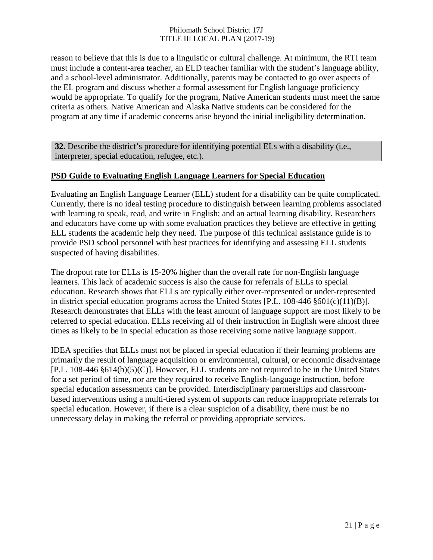reason to believe that this is due to a linguistic or cultural challenge. At minimum, the RTI team must include a content-area teacher, an ELD teacher familiar with the student's language ability, and a school-level administrator. Additionally, parents may be contacted to go over aspects of the EL program and discuss whether a formal assessment for English language proficiency would be appropriate. To qualify for the program, Native American students must meet the same criteria as others. Native American and Alaska Native students can be considered for the program at any time if academic concerns arise beyond the initial ineligibility determination.

**32.** Describe the district's procedure for identifying potential ELs with a disability (i.e., interpreter, special education, refugee, etc.).

#### **PSD Guide to Evaluating English Language Learners for Special Education**

Evaluating an English Language Learner (ELL) student for a disability can be quite complicated. Currently, there is no ideal testing procedure to distinguish between learning problems associated with learning to speak, read, and write in English; and an actual learning disability. Researchers and educators have come up with some evaluation practices they believe are effective in getting ELL students the academic help they need. The purpose of this technical assistance guide is to provide PSD school personnel with best practices for identifying and assessing ELL students suspected of having disabilities.

The dropout rate for ELLs is 15-20% higher than the overall rate for non-English language learners. This lack of academic success is also the cause for referrals of ELLs to special education. Research shows that ELLs are typically either over-represented or under-represented in district special education programs across the United States [P.L. 108-446 §601(c)(11)(B)]. Research demonstrates that ELLs with the least amount of language support are most likely to be referred to special education. ELLs receiving all of their instruction in English were almost three times as likely to be in special education as those receiving some native language support.

IDEA specifies that ELLs must not be placed in special education if their learning problems are primarily the result of language acquisition or environmental, cultural, or economic disadvantage [P.L. 108-446 §614(b)(5)(C)]. However, ELL students are not required to be in the United States for a set period of time, nor are they required to receive English-language instruction, before special education assessments can be provided. Interdisciplinary partnerships and classroombased interventions using a multi-tiered system of supports can reduce inappropriate referrals for special education. However, if there is a clear suspicion of a disability, there must be no unnecessary delay in making the referral or providing appropriate services.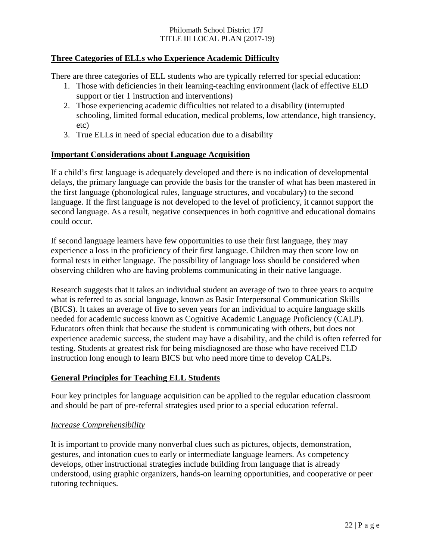#### **Three Categories of ELLs who Experience Academic Difficulty**

There are three categories of ELL students who are typically referred for special education:

- 1. Those with deficiencies in their learning-teaching environment (lack of effective ELD support or tier 1 instruction and interventions)
- 2. Those experiencing academic difficulties not related to a disability (interrupted schooling, limited formal education, medical problems, low attendance, high transiency, etc)
- 3. True ELLs in need of special education due to a disability

#### **Important Considerations about Language Acquisition**

If a child's first language is adequately developed and there is no indication of developmental delays, the primary language can provide the basis for the transfer of what has been mastered in the first language (phonological rules, language structures, and vocabulary) to the second language. If the first language is not developed to the level of proficiency, it cannot support the second language. As a result, negative consequences in both cognitive and educational domains could occur.

If second language learners have few opportunities to use their first language, they may experience a loss in the proficiency of their first language. Children may then score low on formal tests in either language. The possibility of language loss should be considered when observing children who are having problems communicating in their native language.

Research suggests that it takes an individual student an average of two to three years to acquire what is referred to as social language, known as Basic Interpersonal Communication Skills (BICS). It takes an average of five to seven years for an individual to acquire language skills needed for academic success known as Cognitive Academic Language Proficiency (CALP). Educators often think that because the student is communicating with others, but does not experience academic success, the student may have a disability, and the child is often referred for testing. Students at greatest risk for being misdiagnosed are those who have received ELD instruction long enough to learn BICS but who need more time to develop CALPs.

#### **General Principles for Teaching ELL Students**

Four key principles for language acquisition can be applied to the regular education classroom and should be part of pre-referral strategies used prior to a special education referral.

#### *Increase Comprehensibility*

It is important to provide many nonverbal clues such as pictures, objects, demonstration, gestures, and intonation cues to early or intermediate language learners. As competency develops, other instructional strategies include building from language that is already understood, using graphic organizers, hands-on learning opportunities, and cooperative or peer tutoring techniques.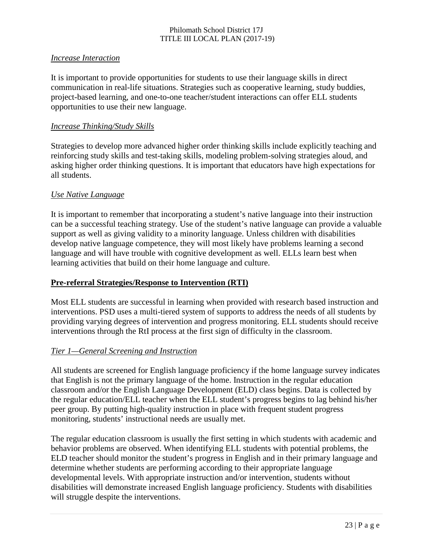#### *Increase Interaction*

It is important to provide opportunities for students to use their language skills in direct communication in real-life situations. Strategies such as cooperative learning, study buddies, project-based learning, and one-to-one teacher/student interactions can offer ELL students opportunities to use their new language.

#### *Increase Thinking/Study Skills*

Strategies to develop more advanced higher order thinking skills include explicitly teaching and reinforcing study skills and test-taking skills, modeling problem-solving strategies aloud, and asking higher order thinking questions. It is important that educators have high expectations for all students.

#### *Use Native Language*

It is important to remember that incorporating a student's native language into their instruction can be a successful teaching strategy. Use of the student's native language can provide a valuable support as well as giving validity to a minority language. Unless children with disabilities develop native language competence, they will most likely have problems learning a second language and will have trouble with cognitive development as well. ELLs learn best when learning activities that build on their home language and culture.

#### **Pre-referral Strategies/Response to Intervention (RTI)**

Most ELL students are successful in learning when provided with research based instruction and interventions. PSD uses a multi-tiered system of supports to address the needs of all students by providing varying degrees of intervention and progress monitoring. ELL students should receive interventions through the RtI process at the first sign of difficulty in the classroom.

#### *Tier 1—General Screening and Instruction*

All students are screened for English language proficiency if the home language survey indicates that English is not the primary language of the home. Instruction in the regular education classroom and/or the English Language Development (ELD) class begins. Data is collected by the regular education/ELL teacher when the ELL student's progress begins to lag behind his/her peer group. By putting high-quality instruction in place with frequent student progress monitoring, students' instructional needs are usually met.

The regular education classroom is usually the first setting in which students with academic and behavior problems are observed. When identifying ELL students with potential problems, the ELD teacher should monitor the student's progress in English and in their primary language and determine whether students are performing according to their appropriate language developmental levels. With appropriate instruction and/or intervention, students without disabilities will demonstrate increased English language proficiency. Students with disabilities will struggle despite the interventions.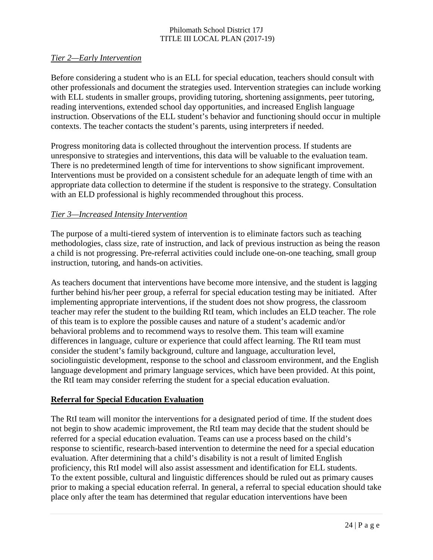#### *Tier 2—Early Intervention*

Before considering a student who is an ELL for special education, teachers should consult with other professionals and document the strategies used. Intervention strategies can include working with ELL students in smaller groups, providing tutoring, shortening assignments, peer tutoring, reading interventions, extended school day opportunities, and increased English language instruction. Observations of the ELL student's behavior and functioning should occur in multiple contexts. The teacher contacts the student's parents, using interpreters if needed.

Progress monitoring data is collected throughout the intervention process. If students are unresponsive to strategies and interventions, this data will be valuable to the evaluation team. There is no predetermined length of time for interventions to show significant improvement. Interventions must be provided on a consistent schedule for an adequate length of time with an appropriate data collection to determine if the student is responsive to the strategy. Consultation with an ELD professional is highly recommended throughout this process.

#### *Tier 3—Increased Intensity Intervention*

The purpose of a multi-tiered system of intervention is to eliminate factors such as teaching methodologies, class size, rate of instruction, and lack of previous instruction as being the reason a child is not progressing. Pre-referral activities could include one-on-one teaching, small group instruction, tutoring, and hands-on activities.

As teachers document that interventions have become more intensive, and the student is lagging further behind his/her peer group, a referral for special education testing may be initiated. After implementing appropriate interventions, if the student does not show progress, the classroom teacher may refer the student to the building RtI team, which includes an ELD teacher. The role of this team is to explore the possible causes and nature of a student's academic and/or behavioral problems and to recommend ways to resolve them. This team will examine differences in language, culture or experience that could affect learning. The RtI team must consider the student's family background, culture and language, acculturation level, sociolinguistic development, response to the school and classroom environment, and the English language development and primary language services, which have been provided. At this point, the RtI team may consider referring the student for a special education evaluation.

#### **Referral for Special Education Evaluation**

The RtI team will monitor the interventions for a designated period of time. If the student does not begin to show academic improvement, the RtI team may decide that the student should be referred for a special education evaluation. Teams can use a process based on the child's response to scientific, research-based intervention to determine the need for a special education evaluation. After determining that a child's disability is not a result of limited English proficiency, this RtI model will also assist assessment and identification for ELL students. To the extent possible, cultural and linguistic differences should be ruled out as primary causes prior to making a special education referral. In general, a referral to special education should take place only after the team has determined that regular education interventions have been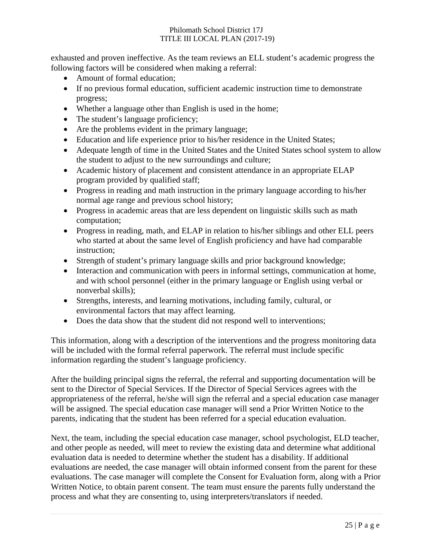exhausted and proven ineffective. As the team reviews an ELL student's academic progress the following factors will be considered when making a referral:

- Amount of formal education;
- If no previous formal education, sufficient academic instruction time to demonstrate progress;
- Whether a language other than English is used in the home;
- The student's language proficiency;
- Are the problems evident in the primary language;
- Education and life experience prior to his/her residence in the United States;
- Adequate length of time in the United States and the United States school system to allow the student to adjust to the new surroundings and culture;
- Academic history of placement and consistent attendance in an appropriate ELAP program provided by qualified staff;
- Progress in reading and math instruction in the primary language according to his/her normal age range and previous school history;
- Progress in academic areas that are less dependent on linguistic skills such as math computation;
- Progress in reading, math, and ELAP in relation to his/her siblings and other ELL peers who started at about the same level of English proficiency and have had comparable instruction;
- Strength of student's primary language skills and prior background knowledge;
- Interaction and communication with peers in informal settings, communication at home, and with school personnel (either in the primary language or English using verbal or nonverbal skills);
- Strengths, interests, and learning motivations, including family, cultural, or environmental factors that may affect learning.
- Does the data show that the student did not respond well to interventions;

This information, along with a description of the interventions and the progress monitoring data will be included with the formal referral paperwork. The referral must include specific information regarding the student's language proficiency.

After the building principal signs the referral, the referral and supporting documentation will be sent to the Director of Special Services. If the Director of Special Services agrees with the appropriateness of the referral, he/she will sign the referral and a special education case manager will be assigned. The special education case manager will send a Prior Written Notice to the parents, indicating that the student has been referred for a special education evaluation.

Next, the team, including the special education case manager, school psychologist, ELD teacher, and other people as needed, will meet to review the existing data and determine what additional evaluation data is needed to determine whether the student has a disability. If additional evaluations are needed, the case manager will obtain informed consent from the parent for these evaluations. The case manager will complete the Consent for Evaluation form, along with a Prior Written Notice, to obtain parent consent. The team must ensure the parents fully understand the process and what they are consenting to, using interpreters/translators if needed.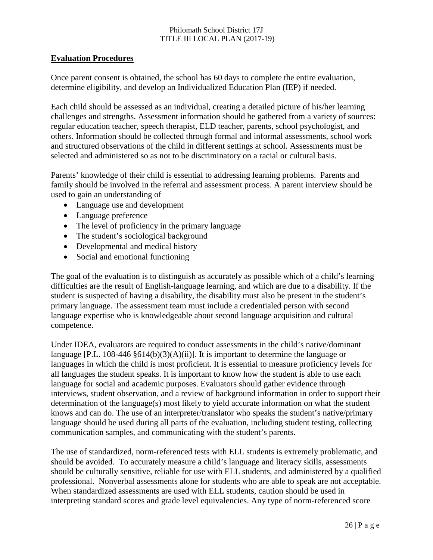#### **Evaluation Procedures**

Once parent consent is obtained, the school has 60 days to complete the entire evaluation, determine eligibility, and develop an Individualized Education Plan (IEP) if needed.

Each child should be assessed as an individual, creating a detailed picture of his/her learning challenges and strengths. Assessment information should be gathered from a variety of sources: regular education teacher, speech therapist, ELD teacher, parents, school psychologist, and others. Information should be collected through formal and informal assessments, school work and structured observations of the child in different settings at school. Assessments must be selected and administered so as not to be discriminatory on a racial or cultural basis.

Parents' knowledge of their child is essential to addressing learning problems. Parents and family should be involved in the referral and assessment process. A parent interview should be used to gain an understanding of

- Language use and development
- Language preference
- The level of proficiency in the primary language
- The student's sociological background
- Developmental and medical history
- Social and emotional functioning

The goal of the evaluation is to distinguish as accurately as possible which of a child's learning difficulties are the result of English-language learning, and which are due to a disability. If the student is suspected of having a disability, the disability must also be present in the student's primary language. The assessment team must include a credentialed person with second language expertise who is knowledgeable about second language acquisition and cultural competence.

Under IDEA, evaluators are required to conduct assessments in the child's native/dominant language [P.L. 108-446 §614(b)(3)(A)(ii)]. It is important to determine the language or languages in which the child is most proficient. It is essential to measure proficiency levels for all languages the student speaks. It is important to know how the student is able to use each language for social and academic purposes. Evaluators should gather evidence through interviews, student observation, and a review of background information in order to support their determination of the language(s) most likely to yield accurate information on what the student knows and can do. The use of an interpreter/translator who speaks the student's native/primary language should be used during all parts of the evaluation, including student testing, collecting communication samples, and communicating with the student's parents.

The use of standardized, norm-referenced tests with ELL students is extremely problematic, and should be avoided. To accurately measure a child's language and literacy skills, assessments should be culturally sensitive, reliable for use with ELL students, and administered by a qualified professional. Nonverbal assessments alone for students who are able to speak are not acceptable. When standardized assessments are used with ELL students, caution should be used in interpreting standard scores and grade level equivalencies. Any type of norm-referenced score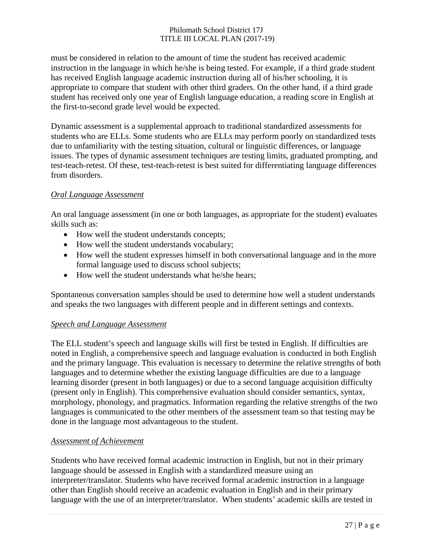must be considered in relation to the amount of time the student has received academic instruction in the language in which he/she is being tested. For example, if a third grade student has received English language academic instruction during all of his/her schooling, it is appropriate to compare that student with other third graders. On the other hand, if a third grade student has received only one year of English language education, a reading score in English at the first-to-second grade level would be expected.

Dynamic assessment is a supplemental approach to traditional standardized assessments for students who are ELLs. Some students who are ELLs may perform poorly on standardized tests due to unfamiliarity with the testing situation, cultural or linguistic differences, or language issues. The types of dynamic assessment techniques are testing limits, graduated prompting, and test-teach-retest. Of these, test-teach-retest is best suited for differentiating language differences from disorders.

#### *Oral Language Assessment*

An oral language assessment (in one or both languages, as appropriate for the student) evaluates skills such as:

- How well the student understands concepts;
- How well the student understands vocabulary;
- How well the student expresses himself in both conversational language and in the more formal language used to discuss school subjects;
- How well the student understands what he/she hears;

Spontaneous conversation samples should be used to determine how well a student understands and speaks the two languages with different people and in different settings and contexts.

#### *Speech and Language Assessment*

The ELL student's speech and language skills will first be tested in English. If difficulties are noted in English, a comprehensive speech and language evaluation is conducted in both English and the primary language. This evaluation is necessary to determine the relative strengths of both languages and to determine whether the existing language difficulties are due to a language learning disorder (present in both languages) or due to a second language acquisition difficulty (present only in English). This comprehensive evaluation should consider semantics, syntax, morphology, phonology, and pragmatics. Information regarding the relative strengths of the two languages is communicated to the other members of the assessment team so that testing may be done in the language most advantageous to the student.

#### *Assessment of Achievement*

Students who have received formal academic instruction in English, but not in their primary language should be assessed in English with a standardized measure using an interpreter/translator. Students who have received formal academic instruction in a language other than English should receive an academic evaluation in English and in their primary language with the use of an interpreter/translator. When students' academic skills are tested in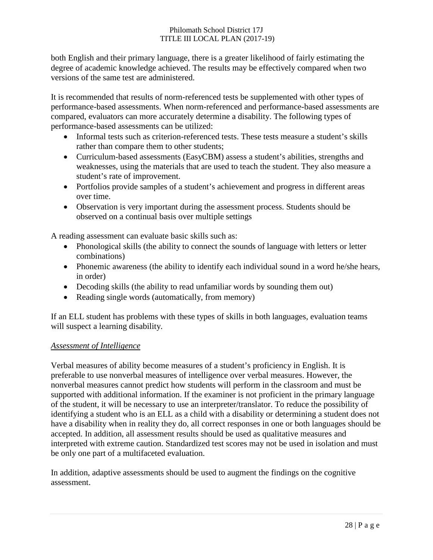both English and their primary language, there is a greater likelihood of fairly estimating the degree of academic knowledge achieved. The results may be effectively compared when two versions of the same test are administered.

It is recommended that results of norm-referenced tests be supplemented with other types of performance-based assessments. When norm-referenced and performance-based assessments are compared, evaluators can more accurately determine a disability. The following types of performance-based assessments can be utilized:

- Informal tests such as criterion-referenced tests. These tests measure a student's skills rather than compare them to other students;
- Curriculum-based assessments (EasyCBM) assess a student's abilities, strengths and weaknesses, using the materials that are used to teach the student. They also measure a student's rate of improvement.
- Portfolios provide samples of a student's achievement and progress in different areas over time.
- Observation is very important during the assessment process. Students should be observed on a continual basis over multiple settings

A reading assessment can evaluate basic skills such as:

- Phonological skills (the ability to connect the sounds of language with letters or letter combinations)
- Phonemic awareness (the ability to identify each individual sound in a word he/she hears, in order)
- Decoding skills (the ability to read unfamiliar words by sounding them out)
- Reading single words (automatically, from memory)

If an ELL student has problems with these types of skills in both languages, evaluation teams will suspect a learning disability.

#### *Assessment of Intelligence*

Verbal measures of ability become measures of a student's proficiency in English. It is preferable to use nonverbal measures of intelligence over verbal measures. However, the nonverbal measures cannot predict how students will perform in the classroom and must be supported with additional information. If the examiner is not proficient in the primary language of the student, it will be necessary to use an interpreter/translator. To reduce the possibility of identifying a student who is an ELL as a child with a disability or determining a student does not have a disability when in reality they do, all correct responses in one or both languages should be accepted. In addition, all assessment results should be used as qualitative measures and interpreted with extreme caution. Standardized test scores may not be used in isolation and must be only one part of a multifaceted evaluation.

In addition, adaptive assessments should be used to augment the findings on the cognitive assessment.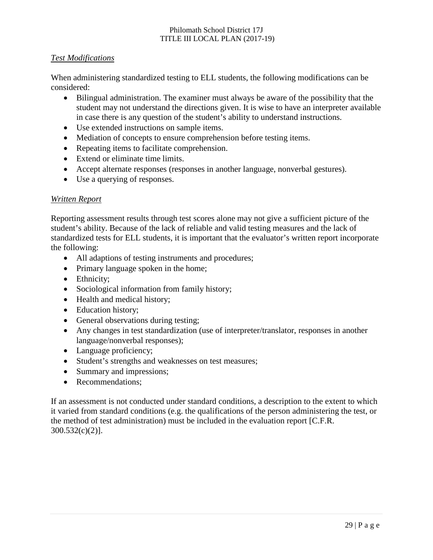#### *Test Modifications*

When administering standardized testing to ELL students, the following modifications can be considered:

- Bilingual administration. The examiner must always be aware of the possibility that the student may not understand the directions given. It is wise to have an interpreter available in case there is any question of the student's ability to understand instructions.
- Use extended instructions on sample items.
- Mediation of concepts to ensure comprehension before testing items.
- Repeating items to facilitate comprehension.
- Extend or eliminate time limits.
- Accept alternate responses (responses in another language, nonverbal gestures).
- Use a querying of responses.

#### *Written Report*

Reporting assessment results through test scores alone may not give a sufficient picture of the student's ability. Because of the lack of reliable and valid testing measures and the lack of standardized tests for ELL students, it is important that the evaluator's written report incorporate the following:

- All adaptions of testing instruments and procedures;
- Primary language spoken in the home;
- Ethnicity;
- Sociological information from family history;
- Health and medical history;
- Education history;
- General observations during testing;
- Any changes in test standardization (use of interpreter/translator, responses in another language/nonverbal responses);
- Language proficiency;
- Student's strengths and weaknesses on test measures;
- Summary and impressions;
- Recommendations:

If an assessment is not conducted under standard conditions, a description to the extent to which it varied from standard conditions (e.g. the qualifications of the person administering the test, or the method of test administration) must be included in the evaluation report [C.F.R. 300.532(c)(2)].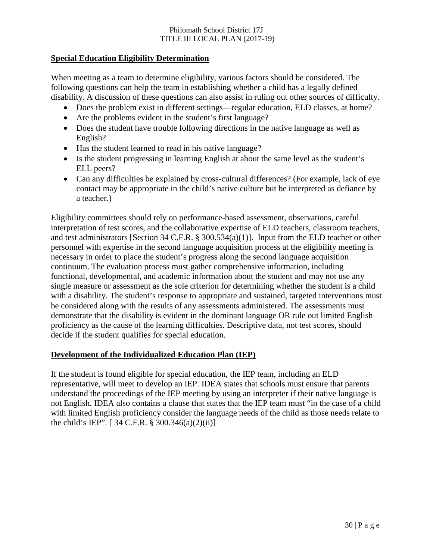#### **Special Education Eligibility Determination**

When meeting as a team to determine eligibility, various factors should be considered. The following questions can help the team in establishing whether a child has a legally defined disability. A discussion of these questions can also assist in ruling out other sources of difficulty.

- Does the problem exist in different settings—regular education, ELD classes, at home?
- Are the problems evident in the student's first language?
- Does the student have trouble following directions in the native language as well as English?
- Has the student learned to read in his native language?
- Is the student progressing in learning English at about the same level as the student's ELL peers?
- Can any difficulties be explained by cross-cultural differences? (For example, lack of eye contact may be appropriate in the child's native culture but be interpreted as defiance by a teacher.)

Eligibility committees should rely on performance-based assessment, observations, careful interpretation of test scores, and the collaborative expertise of ELD teachers, classroom teachers, and test administrators [Section 34 C.F.R. § 300.534(a)(1)]. Input from the ELD teacher or other personnel with expertise in the second language acquisition process at the eligibility meeting is necessary in order to place the student's progress along the second language acquisition continuum. The evaluation process must gather comprehensive information, including functional, developmental, and academic information about the student and may not use any single measure or assessment as the sole criterion for determining whether the student is a child with a disability. The student's response to appropriate and sustained, targeted interventions must be considered along with the results of any assessments administered. The assessments must demonstrate that the disability is evident in the dominant language OR rule out limited English proficiency as the cause of the learning difficulties. Descriptive data, not test scores, should decide if the student qualifies for special education.

#### **Development of the Individualized Education Plan (IEP)**

If the student is found eligible for special education, the IEP team, including an ELD representative, will meet to develop an IEP. IDEA states that schools must ensure that parents understand the proceedings of the IEP meeting by using an interpreter if their native language is not English. IDEA also contains a clause that states that the IEP team must "in the case of a child with limited English proficiency consider the language needs of the child as those needs relate to the child's IEP". [ 34 C.F.R. § 300.346(a)(2)(ii)]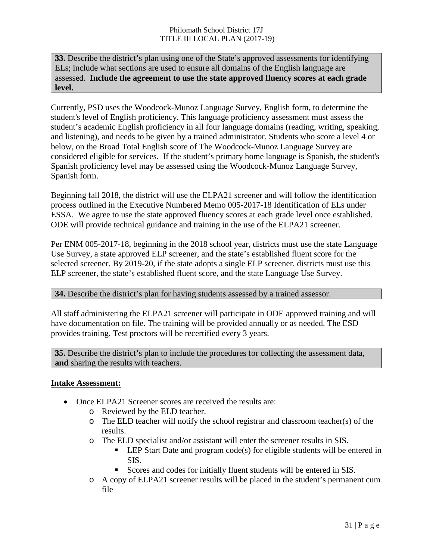**33.** Describe the district's plan using one of the State's approved assessments for identifying ELs; include what sections are used to ensure all domains of the English language are assessed. **Include the agreement to use the state approved fluency scores at each grade level.**

Currently, PSD uses the Woodcock-Munoz Language Survey, English form, to determine the student's level of English proficiency. This language proficiency assessment must assess the student's academic English proficiency in all four language domains (reading, writing, speaking, and listening), and needs to be given by a trained administrator. Students who score a level 4 or below, on the Broad Total English score of The Woodcock-Munoz Language Survey are considered eligible for services. If the student's primary home language is Spanish, the student's Spanish proficiency level may be assessed using the Woodcock-Munoz Language Survey, Spanish form.

Beginning fall 2018, the district will use the ELPA21 screener and will follow the identification process outlined in the Executive Numbered Memo 005-2017-18 Identification of ELs under ESSA. We agree to use the state approved fluency scores at each grade level once established. ODE will provide technical guidance and training in the use of the ELPA21 screener.

Per ENM 005-2017-18, beginning in the 2018 school year, districts must use the state Language Use Survey, a state approved ELP screener, and the state's established fluent score for the selected screener. By 2019-20, if the state adopts a single ELP screener, districts must use this ELP screener, the state's established fluent score, and the state Language Use Survey.

#### **34.** Describe the district's plan for having students assessed by a trained assessor.

All staff administering the ELPA21 screener will participate in ODE approved training and will have documentation on file. The training will be provided annually or as needed. The ESD provides training. Test proctors will be recertified every 3 years.

**35.** Describe the district's plan to include the procedures for collecting the assessment data, **and** sharing the results with teachers.

#### **Intake Assessment:**

- Once ELPA21 Screener scores are received the results are:
	- o Reviewed by the ELD teacher.
	- o The ELD teacher will notify the school registrar and classroom teacher(s) of the results.
	- o The ELD specialist and/or assistant will enter the screener results in SIS.
		- **LEP Start Date and program code(s) for eligible students will be entered in** SIS.
		- Scores and codes for initially fluent students will be entered in SIS.
	- o A copy of ELPA21 screener results will be placed in the student's permanent cum file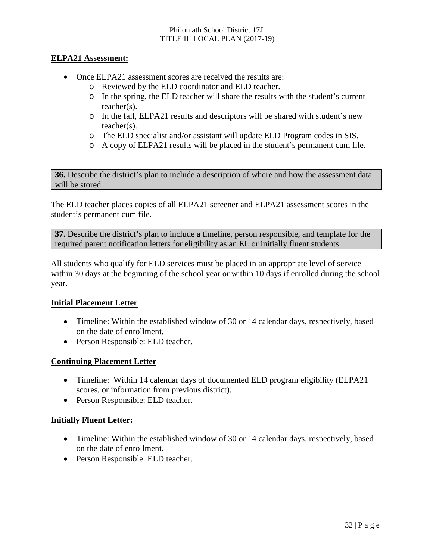#### **ELPA21 Assessment:**

- Once ELPA21 assessment scores are received the results are:
	- o Reviewed by the ELD coordinator and ELD teacher.
	- o In the spring, the ELD teacher will share the results with the student's current teacher(s).
	- o In the fall, ELPA21 results and descriptors will be shared with student's new teacher(s).
	- o The ELD specialist and/or assistant will update ELD Program codes in SIS.
	- o A copy of ELPA21 results will be placed in the student's permanent cum file.

**36.** Describe the district's plan to include a description of where and how the assessment data will be stored.

The ELD teacher places copies of all ELPA21 screener and ELPA21 assessment scores in the student's permanent cum file.

**37.** Describe the district's plan to include a timeline, person responsible, and template for the required parent notification letters for eligibility as an EL or initially fluent students.

All students who qualify for ELD services must be placed in an appropriate level of service within 30 days at the beginning of the school year or within 10 days if enrolled during the school year.

#### **Initial Placement Letter**

- Timeline: Within the established window of 30 or 14 calendar days, respectively, based on the date of enrollment.
- Person Responsible: ELD teacher.

#### **Continuing Placement Letter**

- Timeline: Within 14 calendar days of documented ELD program eligibility (ELPA21) scores, or information from previous district).
- Person Responsible: ELD teacher.

#### **Initially Fluent Letter:**

- Timeline: Within the established window of 30 or 14 calendar days, respectively, based on the date of enrollment.
- Person Responsible: ELD teacher.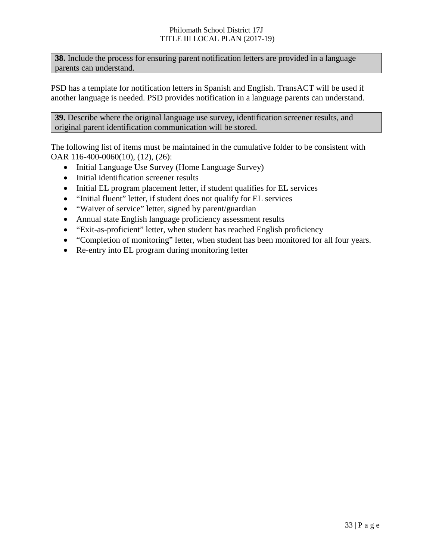**38.** Include the process for ensuring parent notification letters are provided in a language parents can understand.

PSD has a template for notification letters in Spanish and English. TransACT will be used if another language is needed. PSD provides notification in a language parents can understand.

**39.** Describe where the original language use survey, identification screener results, and original parent identification communication will be stored.

The following list of items must be maintained in the cumulative folder to be consistent with OAR 116-400-0060(10), (12), (26):

- Initial Language Use Survey (Home Language Survey)
- Initial identification screener results
- Initial EL program placement letter, if student qualifies for EL services
- "Initial fluent" letter, if student does not qualify for EL services
- "Waiver of service" letter, signed by parent/guardian
- Annual state English language proficiency assessment results
- "Exit-as-proficient" letter, when student has reached English proficiency
- "Completion of monitoring" letter, when student has been monitored for all four years.
- Re-entry into EL program during monitoring letter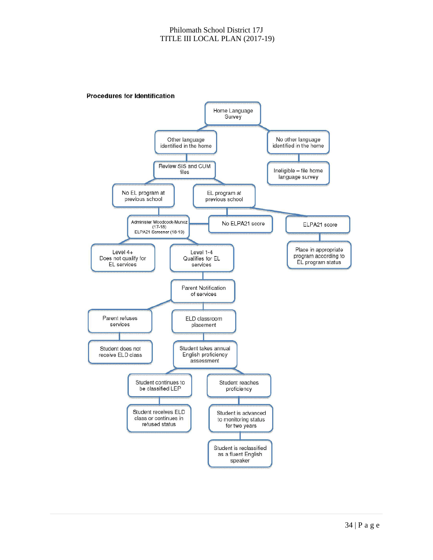

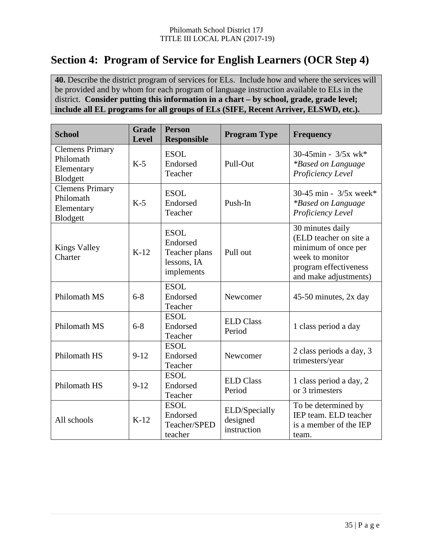# **Section 4: Program of Service for English Learners (OCR Step 4)**

**40.** Describe the district program of services for ELs. Include how and where the services will be provided and by whom for each program of language instruction available to ELs in the district. **Consider putting this information in a chart – by school, grade, grade level; include all EL programs for all groups of ELs (SIFE, Recent Arriver, ELSWD, etc.).**

| <b>School</b>                                                              | <b>Grade</b><br><b>Level</b>                                                | <b>Person</b><br><b>Responsible</b>                                   | <b>Program Type</b>                         | <b>Frequency</b>                                                                                                                       |
|----------------------------------------------------------------------------|-----------------------------------------------------------------------------|-----------------------------------------------------------------------|---------------------------------------------|----------------------------------------------------------------------------------------------------------------------------------------|
| <b>Clemens Primary</b><br>Philomath<br>Elementary<br>Blodgett              | $K-5$                                                                       | <b>ESOL</b><br>Endorsed<br>Teacher                                    | Pull-Out                                    | $30-45$ min - $3/5x$ wk*<br>*Based on Language<br>Proficiency Level                                                                    |
| <b>Clemens Primary</b><br>Philomath<br>Elementary<br>Blodgett              | $K-5$                                                                       | <b>ESOL</b><br>Endorsed<br>Teacher                                    | Push-In                                     | 30-45 min - $3/5x$ week*<br><i>*Based on Language</i><br>Proficiency Level                                                             |
| <b>Kings Valley</b><br>Charter                                             | $K-12$                                                                      | <b>ESOL</b><br>Endorsed<br>Teacher plans<br>lessons, IA<br>implements | Pull out                                    | 30 minutes daily<br>(ELD teacher on site a<br>minimum of once per<br>week to monitor<br>program effectiveness<br>and make adjustments) |
| Philomath MS                                                               | $6 - 8$                                                                     | <b>ESOL</b><br>Endorsed<br>Teacher                                    | Newcomer                                    | 45-50 minutes, 2x day                                                                                                                  |
| Philomath MS                                                               | <b>ESOL</b><br><b>ELD Class</b><br>$6 - 8$<br>Endorsed<br>Period<br>Teacher |                                                                       |                                             | 1 class period a day                                                                                                                   |
| <b>ESOL</b><br>$9 - 12$<br>Endorsed<br>Philomath HS<br>Newcomer<br>Teacher |                                                                             |                                                                       | 2 class periods a day, 3<br>trimesters/year |                                                                                                                                        |
| Philomath HS                                                               | $9-12$                                                                      | <b>ESOL</b><br>Endorsed<br>Teacher                                    | <b>ELD Class</b><br>Period                  | 1 class period a day, 2<br>or 3 trimesters                                                                                             |
| All schools                                                                | $K-12$                                                                      | <b>ESOL</b><br>Endorsed<br>Teacher/SPED<br>teacher                    | ELD/Specially<br>designed<br>instruction    | To be determined by<br>IEP team. ELD teacher<br>is a member of the IEP<br>team.                                                        |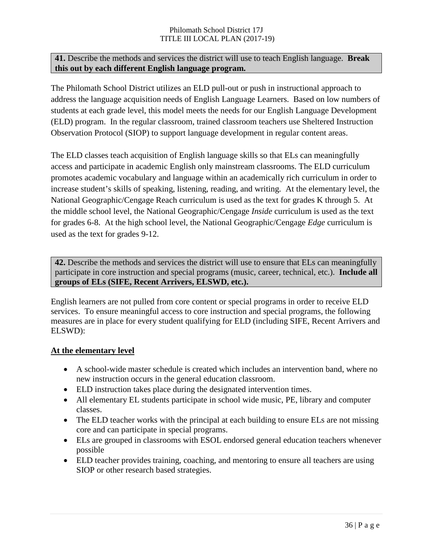#### **41.** Describe the methods and services the district will use to teach English language. **Break this out by each different English language program.**

The Philomath School District utilizes an ELD pull-out or push in instructional approach to address the language acquisition needs of English Language Learners. Based on low numbers of students at each grade level, this model meets the needs for our English Language Development (ELD) program. In the regular classroom, trained classroom teachers use Sheltered Instruction Observation Protocol (SIOP) to support language development in regular content areas.

The ELD classes teach acquisition of English language skills so that ELs can meaningfully access and participate in academic English only mainstream classrooms. The ELD curriculum promotes academic vocabulary and language within an academically rich curriculum in order to increase student's skills of speaking, listening, reading, and writing. At the elementary level, the National Geographic/Cengage Reach curriculum is used as the text for grades K through 5. At the middle school level, the National Geographic/Cengage *Inside* curriculum is used as the text for grades 6-8. At the high school level, the National Geographic/Cengage *Edge* curriculum is used as the text for grades 9-12.

**42.** Describe the methods and services the district will use to ensure that ELs can meaningfully participate in core instruction and special programs (music, career, technical, etc.). **Include all groups of ELs (SIFE, Recent Arrivers, ELSWD, etc.).**

English learners are not pulled from core content or special programs in order to receive ELD services. To ensure meaningful access to core instruction and special programs, the following measures are in place for every student qualifying for ELD (including SIFE, Recent Arrivers and ELSWD):

#### **At the elementary level**

- A school-wide master schedule is created which includes an intervention band, where no new instruction occurs in the general education classroom.
- ELD instruction takes place during the designated intervention times.
- All elementary EL students participate in school wide music, PE, library and computer classes.
- The ELD teacher works with the principal at each building to ensure ELs are not missing core and can participate in special programs.
- ELs are grouped in classrooms with ESOL endorsed general education teachers whenever possible
- ELD teacher provides training, coaching, and mentoring to ensure all teachers are using SIOP or other research based strategies.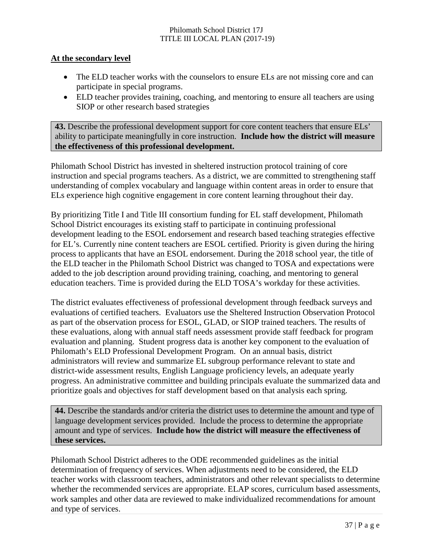#### **At the secondary level**

- The ELD teacher works with the counselors to ensure ELs are not missing core and can participate in special programs.
- ELD teacher provides training, coaching, and mentoring to ensure all teachers are using SIOP or other research based strategies

**43.** Describe the professional development support for core content teachers that ensure ELs' ability to participate meaningfully in core instruction. **Include how the district will measure the effectiveness of this professional development.**

Philomath School District has invested in sheltered instruction protocol training of core instruction and special programs teachers. As a district, we are committed to strengthening staff understanding of complex vocabulary and language within content areas in order to ensure that ELs experience high cognitive engagement in core content learning throughout their day.

By prioritizing Title I and Title III consortium funding for EL staff development, Philomath School District encourages its existing staff to participate in continuing professional development leading to the ESOL endorsement and research based teaching strategies effective for EL's. Currently nine content teachers are ESOL certified. Priority is given during the hiring process to applicants that have an ESOL endorsement. During the 2018 school year, the title of the ELD teacher in the Philomath School District was changed to TOSA and expectations were added to the job description around providing training, coaching, and mentoring to general education teachers. Time is provided during the ELD TOSA's workday for these activities.

The district evaluates effectiveness of professional development through feedback surveys and evaluations of certified teachers. Evaluators use the Sheltered Instruction Observation Protocol as part of the observation process for ESOL, GLAD, or SIOP trained teachers. The results of these evaluations, along with annual staff needs assessment provide staff feedback for program evaluation and planning. Student progress data is another key component to the evaluation of Philomath's ELD Professional Development Program. On an annual basis, district administrators will review and summarize EL subgroup performance relevant to state and district-wide assessment results, English Language proficiency levels, an adequate yearly progress. An administrative committee and building principals evaluate the summarized data and prioritize goals and objectives for staff development based on that analysis each spring.

**44.** Describe the standards and/or criteria the district uses to determine the amount and type of language development services provided. Include the process to determine the appropriate amount and type of services. **Include how the district will measure the effectiveness of these services.**

Philomath School District adheres to the ODE recommended guidelines as the initial determination of frequency of services. When adjustments need to be considered, the ELD teacher works with classroom teachers, administrators and other relevant specialists to determine whether the recommended services are appropriate. ELAP scores, curriculum based assessments, work samples and other data are reviewed to make individualized recommendations for amount and type of services.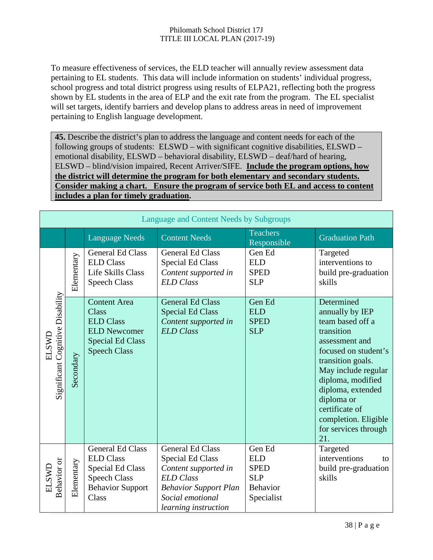To measure effectiveness of services, the ELD teacher will annually review assessment data pertaining to EL students. This data will include information on students' individual progress, school progress and total district progress using results of ELPA21, reflecting both the progress shown by EL students in the area of ELP and the exit rate from the program. The EL specialist will set targets, identify barriers and develop plans to address areas in need of improvement pertaining to English language development.

**45.** Describe the district's plan to address the language and content needs for each of the following groups of students: ELSWD – with significant cognitive disabilities, ELSWD – emotional disability, ELSWD – behavioral disability, ELSWD – deaf/hard of hearing, ELSWD – blind/vision impaired, Recent Arriver/SIFE. **Include the program options, how the district will determine the program for both elementary and secondary students. Consider making a chart. Ensure the program of service both EL and access to content includes a plan for timely graduation.**

|                                           | Language and Content Needs by Subgroups |                                                                                                                                   |                                                                                                                                                                            |                                                                                    |                                                                                                                                                                                                                                                                                        |  |
|-------------------------------------------|-----------------------------------------|-----------------------------------------------------------------------------------------------------------------------------------|----------------------------------------------------------------------------------------------------------------------------------------------------------------------------|------------------------------------------------------------------------------------|----------------------------------------------------------------------------------------------------------------------------------------------------------------------------------------------------------------------------------------------------------------------------------------|--|
|                                           |                                         | <b>Language Needs</b>                                                                                                             | <b>Content Needs</b>                                                                                                                                                       | <b>Teachers</b><br>Responsible                                                     | <b>Graduation Path</b>                                                                                                                                                                                                                                                                 |  |
|                                           | Elementary                              | <b>General Ed Class</b><br><b>ELD Class</b><br><b>Life Skills Class</b><br><b>Speech Class</b>                                    | General Ed Class<br><b>Special Ed Class</b><br>Content supported in<br><b>ELD</b> Class                                                                                    | Gen Ed<br><b>ELD</b><br><b>SPED</b><br><b>SLP</b>                                  | Targeted<br>interventions to<br>build pre-graduation<br>skills                                                                                                                                                                                                                         |  |
| Significant Cognitive Disability<br>ELSWL | Secondary                               | <b>Content Area</b><br>Class<br><b>ELD Class</b><br><b>ELD Newcomer</b><br><b>Special Ed Class</b><br><b>Speech Class</b>         | <b>General Ed Class</b><br><b>Special Ed Class</b><br>Content supported in<br><b>ELD</b> Class                                                                             | Gen Ed<br><b>ELD</b><br><b>SPED</b><br><b>SLP</b>                                  | Determined<br>annually by IEP<br>team based off a<br>transition<br>assessment and<br>focused on student's<br>transition goals.<br>May include regular<br>diploma, modified<br>diploma, extended<br>diploma or<br>certificate of<br>completion. Eligible<br>for services through<br>21. |  |
| Behavior or<br>ELSWL                      | Elementary                              | <b>General Ed Class</b><br><b>ELD Class</b><br><b>Special Ed Class</b><br><b>Speech Class</b><br><b>Behavior Support</b><br>Class | <b>General Ed Class</b><br><b>Special Ed Class</b><br>Content supported in<br><b>ELD</b> Class<br><b>Behavior Support Plan</b><br>Social emotional<br>learning instruction | Gen Ed<br><b>ELD</b><br><b>SPED</b><br><b>SLP</b><br><b>Behavior</b><br>Specialist | Targeted<br>interventions<br>to<br>build pre-graduation<br>skills                                                                                                                                                                                                                      |  |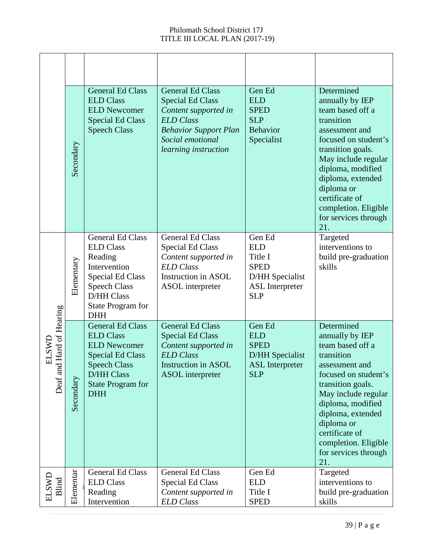|                                       | Secondary  | <b>General Ed Class</b><br><b>ELD Class</b><br><b>ELD Newcomer</b><br><b>Special Ed Class</b><br><b>Speech Class</b>                                                                | <b>General Ed Class</b><br><b>Special Ed Class</b><br>Content supported in<br><b>ELD</b> Class<br><b>Behavior Support Plan</b><br>Social emotional<br>learning instruction | Gen Ed<br><b>ELD</b><br><b>SPED</b><br><b>SLP</b><br>Behavior<br>Specialist                               | Determined<br>annually by IEP<br>team based off a<br>transition<br>assessment and<br>focused on student's<br>transition goals.<br>May include regular<br>diploma, modified<br>diploma, extended<br>diploma or<br>certificate of<br>completion. Eligible<br>for services through<br>21. |
|---------------------------------------|------------|-------------------------------------------------------------------------------------------------------------------------------------------------------------------------------------|----------------------------------------------------------------------------------------------------------------------------------------------------------------------------|-----------------------------------------------------------------------------------------------------------|----------------------------------------------------------------------------------------------------------------------------------------------------------------------------------------------------------------------------------------------------------------------------------------|
|                                       | Elementary | <b>General Ed Class</b><br><b>ELD Class</b><br>Reading<br>Intervention<br>Special Ed Class<br><b>Speech Class</b><br>D/HH Class<br>State Program for<br><b>DHH</b>                  | General Ed Class<br><b>Special Ed Class</b><br>Content supported in<br><b>ELD</b> Class<br>Instruction in ASOL<br>ASOL interpreter                                         | Gen Ed<br><b>ELD</b><br>Title I<br><b>SPED</b><br>D/HH Specialist<br><b>ASL</b> Interpreter<br><b>SLP</b> | Targeted<br>interventions to<br>build pre-graduation<br>skills                                                                                                                                                                                                                         |
| d Hard of Hearing<br>ELSWL<br>Deaf an | Secondary  | <b>General Ed Class</b><br><b>ELD Class</b><br><b>ELD Newcomer</b><br><b>Special Ed Class</b><br><b>Speech Class</b><br><b>D/HH Class</b><br><b>State Program for</b><br><b>DHH</b> | <b>General Ed Class</b><br><b>Special Ed Class</b><br>Content supported in<br><b>ELD</b> Class<br>Instruction in ASOL<br><b>ASOL</b> interpreter                           | Gen Ed<br><b>ELD</b><br><b>SPED</b><br>D/HH Specialist<br><b>ASL</b> Interpreter<br><b>SLP</b>            | Determined<br>annually by IEP<br>team based off a<br>transition<br>assessment and<br>focused on student's<br>transition goals.<br>May include regular<br>diploma, modified<br>diploma, extended<br>diploma or<br>certificate of<br>completion. Eligible<br>for services through<br>21. |
| ELSWL<br>Blind                        | Elementar  | General Ed Class<br><b>ELD Class</b><br>Reading<br>Intervention                                                                                                                     | General Ed Class<br><b>Special Ed Class</b><br>Content supported in<br><b>ELD</b> Class                                                                                    | Gen Ed<br><b>ELD</b><br>Title I<br><b>SPED</b>                                                            | Targeted<br>interventions to<br>build pre-graduation<br>skills                                                                                                                                                                                                                         |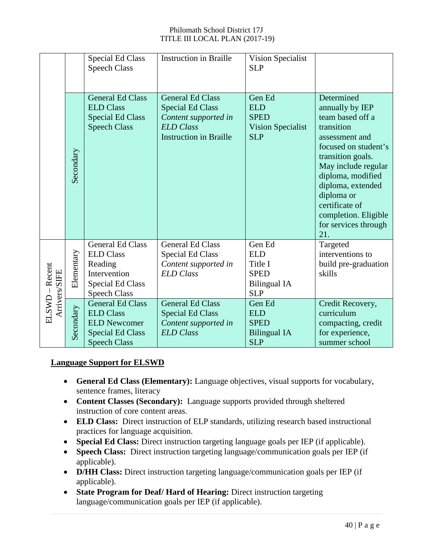|                         |            | <b>Special Ed Class</b><br><b>Speech Class</b>                                                                           | <b>Instruction in Braille</b>                                                                                                   | Vision Specialist<br><b>SLP</b>                                                     |                                                                                                                                                                                                                                                                                        |
|-------------------------|------------|--------------------------------------------------------------------------------------------------------------------------|---------------------------------------------------------------------------------------------------------------------------------|-------------------------------------------------------------------------------------|----------------------------------------------------------------------------------------------------------------------------------------------------------------------------------------------------------------------------------------------------------------------------------------|
|                         | Secondary  | <b>General Ed Class</b><br><b>ELD Class</b><br><b>Special Ed Class</b><br><b>Speech Class</b>                            | <b>General Ed Class</b><br><b>Special Ed Class</b><br>Content supported in<br><b>ELD</b> Class<br><b>Instruction in Braille</b> | Gen Ed<br><b>ELD</b><br><b>SPED</b><br><b>Vision Specialist</b><br><b>SLP</b>       | Determined<br>annually by IEP<br>team based off a<br>transition<br>assessment and<br>focused on student's<br>transition goals.<br>May include regular<br>diploma, modified<br>diploma, extended<br>diploma or<br>certificate of<br>completion. Eligible<br>for services through<br>21. |
| Recent<br>Arrivers/SIFE | Elementary | <b>General Ed Class</b><br><b>ELD Class</b><br>Reading<br>Intervention<br><b>Special Ed Class</b><br><b>Speech Class</b> | <b>General Ed Class</b><br><b>Special Ed Class</b><br>Content supported in<br><b>ELD</b> Class                                  | Gen Ed<br><b>ELD</b><br>Title I<br><b>SPED</b><br><b>Bilingual IA</b><br><b>SLP</b> | Targeted<br>interventions to<br>build pre-graduation<br>skills                                                                                                                                                                                                                         |
| ELSWD                   | Secondary  | <b>General Ed Class</b><br><b>ELD Class</b><br><b>ELD Newcomer</b><br><b>Special Ed Class</b><br><b>Speech Class</b>     | <b>General Ed Class</b><br><b>Special Ed Class</b><br>Content supported in<br><b>ELD</b> Class                                  | Gen Ed<br><b>ELD</b><br><b>SPED</b><br><b>Bilingual IA</b><br><b>SLP</b>            | Credit Recovery,<br>curriculum<br>compacting, credit<br>for experience,<br>summer school                                                                                                                                                                                               |

#### **Language Support for ELSWD**

- **General Ed Class (Elementary):** Language objectives, visual supports for vocabulary, sentence frames, literacy
- **Content Classes (Secondary):** Language supports provided through sheltered instruction of core content areas.
- **ELD Class:** Direct instruction of ELP standards, utilizing research based instructional practices for language acquisition.
- **Special Ed Class:** Direct instruction targeting language goals per IEP (if applicable).
- **Speech Class:** Direct instruction targeting language/communication goals per IEP (if applicable).
- **D/HH Class:** Direct instruction targeting language/communication goals per IEP (if applicable).
- **State Program for Deaf/ Hard of Hearing:** Direct instruction targeting language/communication goals per IEP (if applicable).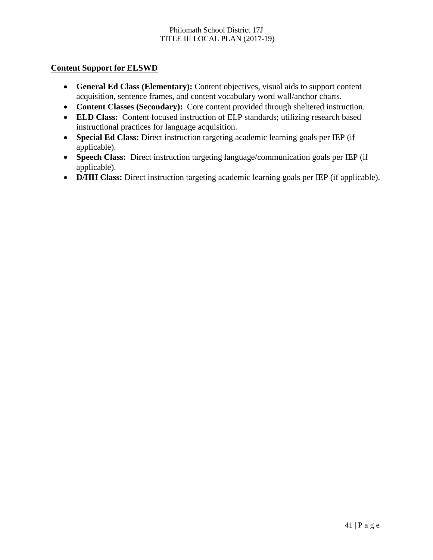#### **Content Support for ELSWD**

- **General Ed Class (Elementary):** Content objectives, visual aids to support content acquisition, sentence frames, and content vocabulary word wall/anchor charts.
- **Content Classes (Secondary):** Core content provided through sheltered instruction.
- **ELD Class:** Content focused instruction of ELP standards; utilizing research based instructional practices for language acquisition.
- **Special Ed Class:** Direct instruction targeting academic learning goals per IEP (if applicable).
- **Speech Class:** Direct instruction targeting language/communication goals per IEP (if applicable).
- **D/HH Class:** Direct instruction targeting academic learning goals per IEP (if applicable).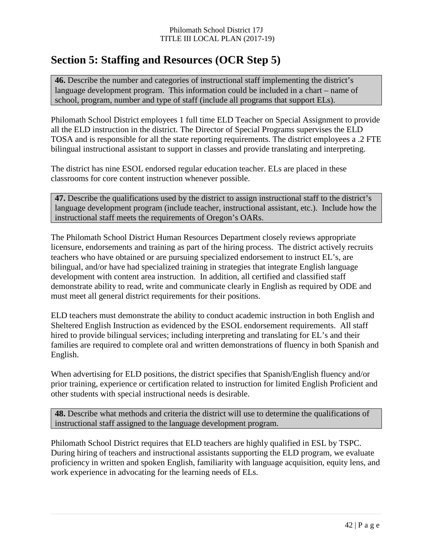# **Section 5: Staffing and Resources (OCR Step 5)**

**46.** Describe the number and categories of instructional staff implementing the district's language development program. This information could be included in a chart – name of school, program, number and type of staff (include all programs that support ELs).

Philomath School District employees 1 full time ELD Teacher on Special Assignment to provide all the ELD instruction in the district. The Director of Special Programs supervises the ELD TOSA and is responsible for all the state reporting requirements. The district employees a .2 FTE bilingual instructional assistant to support in classes and provide translating and interpreting.

The district has nine ESOL endorsed regular education teacher. ELs are placed in these classrooms for core content instruction whenever possible.

**47.** Describe the qualifications used by the district to assign instructional staff to the district's language development program (include teacher, instructional assistant, etc.). Include how the instructional staff meets the requirements of Oregon's OARs.

The Philomath School District Human Resources Department closely reviews appropriate licensure, endorsements and training as part of the hiring process. The district actively recruits teachers who have obtained or are pursuing specialized endorsement to instruct EL's, are bilingual, and/or have had specialized training in strategies that integrate English language development with content area instruction. In addition, all certified and classified staff demonstrate ability to read, write and communicate clearly in English as required by ODE and must meet all general district requirements for their positions.

ELD teachers must demonstrate the ability to conduct academic instruction in both English and Sheltered English Instruction as evidenced by the ESOL endorsement requirements. All staff hired to provide bilingual services; including interpreting and translating for EL's and their families are required to complete oral and written demonstrations of fluency in both Spanish and English.

When advertising for ELD positions, the district specifies that Spanish/English fluency and/or prior training, experience or certification related to instruction for limited English Proficient and other students with special instructional needs is desirable.

**48.** Describe what methods and criteria the district will use to determine the qualifications of instructional staff assigned to the language development program.

Philomath School District requires that ELD teachers are highly qualified in ESL by TSPC. During hiring of teachers and instructional assistants supporting the ELD program, we evaluate proficiency in written and spoken English, familiarity with language acquisition, equity lens, and work experience in advocating for the learning needs of ELs.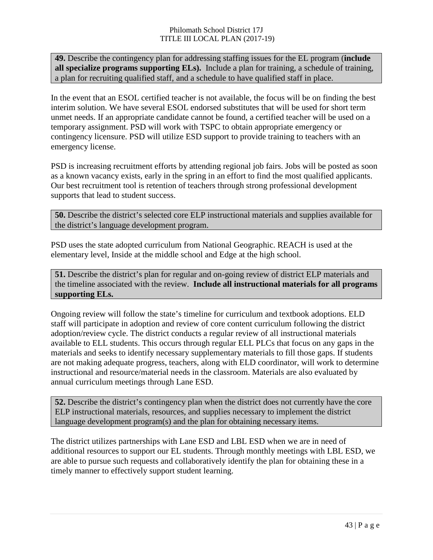**49.** Describe the contingency plan for addressing staffing issues for the EL program (**include all specialize programs supporting ELs).** Include a plan for training, a schedule of training, a plan for recruiting qualified staff, and a schedule to have qualified staff in place.

In the event that an ESOL certified teacher is not available, the focus will be on finding the best interim solution. We have several ESOL endorsed substitutes that will be used for short term unmet needs. If an appropriate candidate cannot be found, a certified teacher will be used on a temporary assignment. PSD will work with TSPC to obtain appropriate emergency or contingency licensure. PSD will utilize ESD support to provide training to teachers with an emergency license.

PSD is increasing recruitment efforts by attending regional job fairs. Jobs will be posted as soon as a known vacancy exists, early in the spring in an effort to find the most qualified applicants. Our best recruitment tool is retention of teachers through strong professional development supports that lead to student success.

**50.** Describe the district's selected core ELP instructional materials and supplies available for the district's language development program.

PSD uses the state adopted curriculum from National Geographic. REACH is used at the elementary level, Inside at the middle school and Edge at the high school.

**51.** Describe the district's plan for regular and on-going review of district ELP materials and the timeline associated with the review. **Include all instructional materials for all programs supporting ELs.**

Ongoing review will follow the state's timeline for curriculum and textbook adoptions. ELD staff will participate in adoption and review of core content curriculum following the district adoption/review cycle. The district conducts a regular review of all instructional materials available to ELL students. This occurs through regular ELL PLCs that focus on any gaps in the materials and seeks to identify necessary supplementary materials to fill those gaps. If students are not making adequate progress, teachers, along with ELD coordinator, will work to determine instructional and resource/material needs in the classroom. Materials are also evaluated by annual curriculum meetings through Lane ESD.

**52.** Describe the district's contingency plan when the district does not currently have the core ELP instructional materials, resources, and supplies necessary to implement the district language development program(s) and the plan for obtaining necessary items.

The district utilizes partnerships with Lane ESD and LBL ESD when we are in need of additional resources to support our EL students. Through monthly meetings with LBL ESD, we are able to pursue such requests and collaboratively identify the plan for obtaining these in a timely manner to effectively support student learning.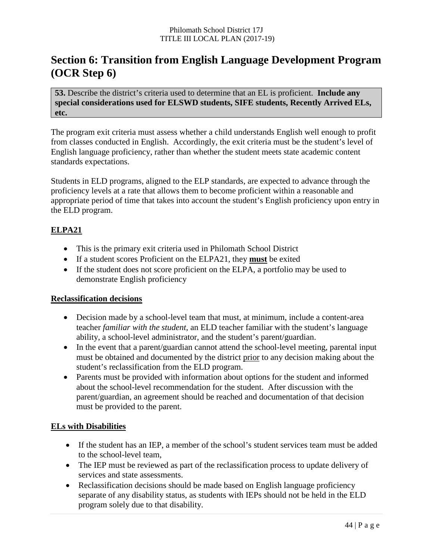# **Section 6: Transition from English Language Development Program (OCR Step 6)**

**53.** Describe the district's criteria used to determine that an EL is proficient. **Include any special considerations used for ELSWD students, SIFE students, Recently Arrived ELs, etc.**

The program exit criteria must assess whether a child understands English well enough to profit from classes conducted in English. Accordingly, the exit criteria must be the student's level of English language proficiency, rather than whether the student meets state academic content standards expectations.

Students in ELD programs, aligned to the ELP standards, are expected to advance through the proficiency levels at a rate that allows them to become proficient within a reasonable and appropriate period of time that takes into account the student's English proficiency upon entry in the ELD program.

#### **ELPA21**

- This is the primary exit criteria used in Philomath School District
- If a student scores Proficient on the ELPA21, they **must** be exited
- If the student does not score proficient on the ELPA, a portfolio may be used to demonstrate English proficiency

#### **Reclassification decisions**

- Decision made by a school-level team that must, at minimum, include a content-area teacher *familiar with the student*, an ELD teacher familiar with the student's language ability, a school-level administrator, and the student's parent/guardian.
- In the event that a parent/guardian cannot attend the school-level meeting, parental input must be obtained and documented by the district prior to any decision making about the student's reclassification from the ELD program.
- Parents must be provided with information about options for the student and informed about the school-level recommendation for the student. After discussion with the parent/guardian, an agreement should be reached and documentation of that decision must be provided to the parent.

#### **ELs with Disabilities**

- If the student has an IEP, a member of the school's student services team must be added to the school-level team,
- The IEP must be reviewed as part of the reclassification process to update delivery of services and state assessments.
- Reclassification decisions should be made based on English language proficiency separate of any disability status, as students with IEPs should not be held in the ELD program solely due to that disability.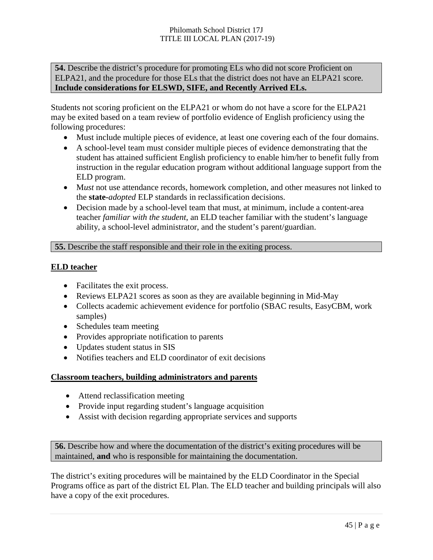**54.** Describe the district's procedure for promoting ELs who did not score Proficient on ELPA21, and the procedure for those ELs that the district does not have an ELPA21 score. **Include considerations for ELSWD, SIFE, and Recently Arrived ELs.**

Students not scoring proficient on the ELPA21 or whom do not have a score for the ELPA21 may be exited based on a team review of portfolio evidence of English proficiency using the following procedures:

- Must include multiple pieces of evidence, at least one covering each of the four domains.
- A school-level team must consider multiple pieces of evidence demonstrating that the student has attained sufficient English proficiency to enable him/her to benefit fully from instruction in the regular education program without additional language support from the ELD program.
- M*ust* not use attendance records, homework completion, and other measures not linked to the **state-***adopted* ELP standards in reclassification decisions.
- Decision made by a school-level team that must, at minimum, include a content-area teacher *familiar with the student*, an ELD teacher familiar with the student's language ability, a school-level administrator, and the student's parent/guardian.

#### **55.** Describe the staff responsible and their role in the exiting process.

#### **ELD teacher**

- Facilitates the exit process.
- Reviews ELPA21 scores as soon as they are available beginning in Mid-May
- Collects academic achievement evidence for portfolio (SBAC results, EasyCBM, work samples)
- Schedules team meeting
- Provides appropriate notification to parents
- Updates student status in SIS
- Notifies teachers and ELD coordinator of exit decisions

#### **Classroom teachers, building administrators and parents**

- Attend reclassification meeting
- Provide input regarding student's language acquisition
- Assist with decision regarding appropriate services and supports

**56.** Describe how and where the documentation of the district's exiting procedures will be maintained, **and** who is responsible for maintaining the documentation.

The district's exiting procedures will be maintained by the ELD Coordinator in the Special Programs office as part of the district EL Plan. The ELD teacher and building principals will also have a copy of the exit procedures.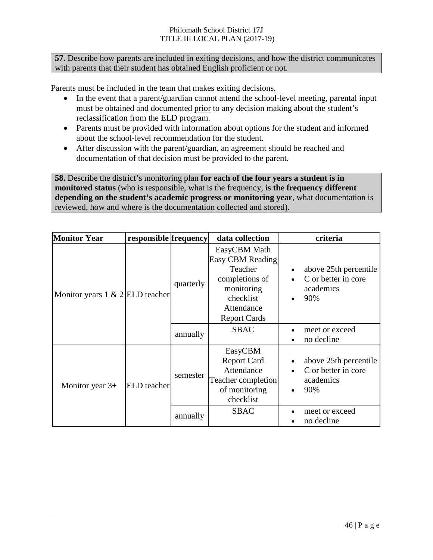**57.** Describe how parents are included in exiting decisions, and how the district communicates with parents that their student has obtained English proficient or not.

Parents must be included in the team that makes exiting decisions.

- In the event that a parent/guardian cannot attend the school-level meeting, parental input must be obtained and documented prior to any decision making about the student's reclassification from the ELD program.
- Parents must be provided with information about options for the student and informed about the school-level recommendation for the student.
- After discussion with the parent/guardian, an agreement should be reached and documentation of that decision must be provided to the parent.

**58.** Describe the district's monitoring plan **for each of the four years a student is in monitored status** (who is responsible, what is the frequency, **is the frequency different depending on the student's academic progress or monitoring year**, what documentation is reviewed, how and where is the documentation collected and stored).

| <b>Monitor Year</b>                     | responsible frequency |           | data collection                                                                                                               | criteria                                                                      |
|-----------------------------------------|-----------------------|-----------|-------------------------------------------------------------------------------------------------------------------------------|-------------------------------------------------------------------------------|
| Monitor years $1 \& 2 \times 1$ teacher |                       | quarterly | EasyCBM Math<br>Easy CBM Reading<br>Teacher<br>completions of<br>monitoring<br>checklist<br>Attendance<br><b>Report Cards</b> | above 25th percentile<br>C or better in core<br>academics<br>90%              |
|                                         |                       | annually  | <b>SBAC</b>                                                                                                                   | meet or exceed<br>no decline                                                  |
| Monitor year $3+$                       | ELD teacher           | semester  | EasyCBM<br><b>Report Card</b><br>Attendance<br><b>Teacher completion</b><br>of monitoring<br>checklist                        | above 25th percentile<br>C or better in core<br>academics<br>90%<br>$\bullet$ |
|                                         |                       | annually  | <b>SBAC</b>                                                                                                                   | meet or exceed<br>no decline                                                  |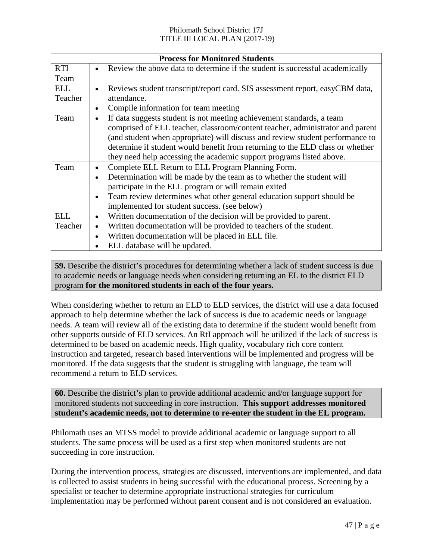|            |                                                                               | <b>Process for Monitored Students</b>                                         |  |  |  |  |
|------------|-------------------------------------------------------------------------------|-------------------------------------------------------------------------------|--|--|--|--|
| <b>RTI</b> | $\bullet$                                                                     | Review the above data to determine if the student is successful academically  |  |  |  |  |
| Team       |                                                                               |                                                                               |  |  |  |  |
| <b>ELL</b> | $\bullet$                                                                     | Reviews student transcript/report card. SIS assessment report, easyCBM data,  |  |  |  |  |
| Teacher    |                                                                               | attendance.                                                                   |  |  |  |  |
|            | $\bullet$                                                                     | Compile information for team meeting                                          |  |  |  |  |
| Team       | $\bullet$                                                                     | If data suggests student is not meeting achievement standards, a team         |  |  |  |  |
|            |                                                                               | comprised of ELL teacher, classroom/content teacher, administrator and parent |  |  |  |  |
|            | (and student when appropriate) will discuss and review student performance to |                                                                               |  |  |  |  |
|            |                                                                               | determine if student would benefit from returning to the ELD class or whether |  |  |  |  |
|            |                                                                               | they need help accessing the academic support programs listed above.          |  |  |  |  |
| Team       | $\bullet$                                                                     | Complete ELL Return to ELL Program Planning Form.                             |  |  |  |  |
|            | $\bullet$                                                                     | Determination will be made by the team as to whether the student will         |  |  |  |  |
|            |                                                                               | participate in the ELL program or will remain exited                          |  |  |  |  |
|            | $\bullet$                                                                     | Team review determines what other general education support should be         |  |  |  |  |
|            |                                                                               | implemented for student success. (see below)                                  |  |  |  |  |
| <b>ELL</b> | $\bullet$                                                                     | Written documentation of the decision will be provided to parent.             |  |  |  |  |
| Teacher    | $\bullet$                                                                     | Written documentation will be provided to teachers of the student.            |  |  |  |  |
|            | $\bullet$                                                                     | Written documentation will be placed in ELL file.                             |  |  |  |  |
|            |                                                                               | ELL database will be updated.                                                 |  |  |  |  |

**59.** Describe the district's procedures for determining whether a lack of student success is due to academic needs or language needs when considering returning an EL to the district ELD program **for the monitored students in each of the four years.**

When considering whether to return an ELD to ELD services, the district will use a data focused approach to help determine whether the lack of success is due to academic needs or language needs. A team will review all of the existing data to determine if the student would benefit from other supports outside of ELD services. An RtI approach will be utilized if the lack of success is determined to be based on academic needs. High quality, vocabulary rich core content instruction and targeted, research based interventions will be implemented and progress will be monitored. If the data suggests that the student is struggling with language, the team will recommend a return to ELD services.

**60.** Describe the district's plan to provide additional academic and/or language support for monitored students not succeeding in core instruction. **This support addresses monitored student's academic needs, not to determine to re-enter the student in the EL program.**

Philomath uses an MTSS model to provide additional academic or language support to all students. The same process will be used as a first step when monitored students are not succeeding in core instruction.

During the intervention process, strategies are discussed, interventions are implemented, and data is collected to assist students in being successful with the educational process. Screening by a specialist or teacher to determine appropriate instructional strategies for curriculum implementation may be performed without parent consent and is not considered an evaluation.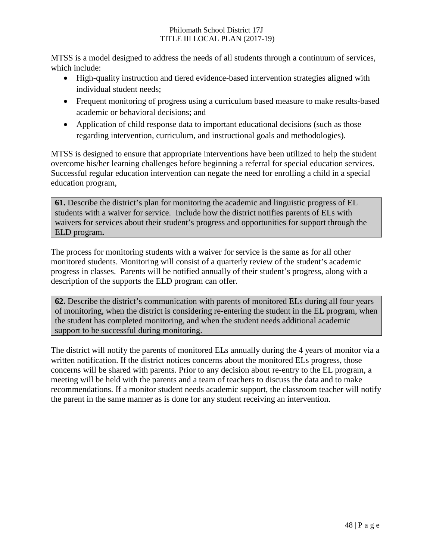MTSS is a model designed to address the needs of all students through a continuum of services, which include:

- High-quality instruction and tiered evidence-based intervention strategies aligned with individual student needs;
- Frequent monitoring of progress using a curriculum based measure to make results-based academic or behavioral decisions; and
- Application of child response data to important educational decisions (such as those regarding intervention, curriculum, and instructional goals and methodologies).

MTSS is designed to ensure that appropriate interventions have been utilized to help the student overcome his/her learning challenges before beginning a referral for special education services. Successful regular education intervention can negate the need for enrolling a child in a special education program,

**61.** Describe the district's plan for monitoring the academic and linguistic progress of EL students with a waiver for service. Include how the district notifies parents of ELs with waivers for services about their student's progress and opportunities for support through the ELD program**.**

The process for monitoring students with a waiver for service is the same as for all other monitored students. Monitoring will consist of a quarterly review of the student's academic progress in classes. Parents will be notified annually of their student's progress, along with a description of the supports the ELD program can offer.

**62.** Describe the district's communication with parents of monitored ELs during all four years of monitoring, when the district is considering re-entering the student in the EL program, when the student has completed monitoring, and when the student needs additional academic support to be successful during monitoring.

The district will notify the parents of monitored ELs annually during the 4 years of monitor via a written notification. If the district notices concerns about the monitored ELs progress, those concerns will be shared with parents. Prior to any decision about re-entry to the EL program, a meeting will be held with the parents and a team of teachers to discuss the data and to make recommendations. If a monitor student needs academic support, the classroom teacher will notify the parent in the same manner as is done for any student receiving an intervention.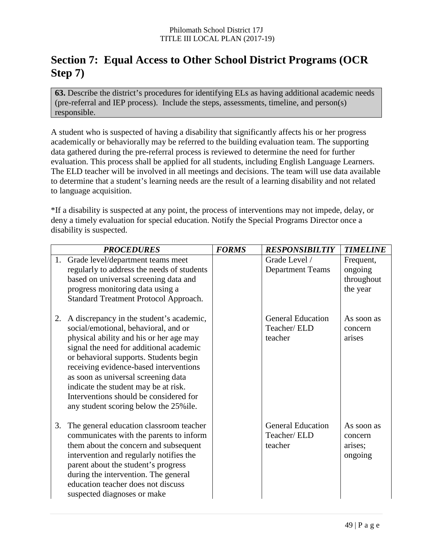# **Section 7: Equal Access to Other School District Programs (OCR Step 7)**

**63.** Describe the district's procedures for identifying ELs as having additional academic needs (pre-referral and IEP process). Include the steps, assessments, timeline, and person(s) responsible.

A student who is suspected of having a disability that significantly affects his or her progress academically or behaviorally may be referred to the building evaluation team. The supporting data gathered during the pre-referral process is reviewed to determine the need for further evaluation. This process shall be applied for all students, including English Language Learners. The ELD teacher will be involved in all meetings and decisions. The team will use data available to determine that a student's learning needs are the result of a learning disability and not related to language acquisition.

\*If a disability is suspected at any point, the process of interventions may not impede, delay, or deny a timely evaluation for special education. Notify the Special Programs Director once a disability is suspected.

|    | <b>PROCEDURES</b>                                                                                                                                                                                                                                                                                                                                                                                                             | <b>FORMS</b> | <b>RESPONSIBILTIY</b>                              | <b>TIMELINE</b>                                |
|----|-------------------------------------------------------------------------------------------------------------------------------------------------------------------------------------------------------------------------------------------------------------------------------------------------------------------------------------------------------------------------------------------------------------------------------|--------------|----------------------------------------------------|------------------------------------------------|
|    | 1. Grade level/department teams meet<br>regularly to address the needs of students<br>based on universal screening data and<br>progress monitoring data using a<br>Standard Treatment Protocol Approach.                                                                                                                                                                                                                      |              | Grade Level /<br><b>Department Teams</b>           | Frequent,<br>ongoing<br>throughout<br>the year |
| 2. | A discrepancy in the student's academic,<br>social/emotional, behavioral, and or<br>physical ability and his or her age may<br>signal the need for additional academic<br>or behavioral supports. Students begin<br>receiving evidence-based interventions<br>as soon as universal screening data<br>indicate the student may be at risk.<br>Interventions should be considered for<br>any student scoring below the 25% ile. |              | <b>General Education</b><br>Teacher/ELD<br>teacher | As soon as<br>concern<br>arises                |
| 3. | The general education classroom teacher<br>communicates with the parents to inform<br>them about the concern and subsequent<br>intervention and regularly notifies the<br>parent about the student's progress<br>during the intervention. The general<br>education teacher does not discuss<br>suspected diagnoses or make                                                                                                    |              | <b>General Education</b><br>Teacher/ELD<br>teacher | As soon as<br>concern<br>arises;<br>ongoing    |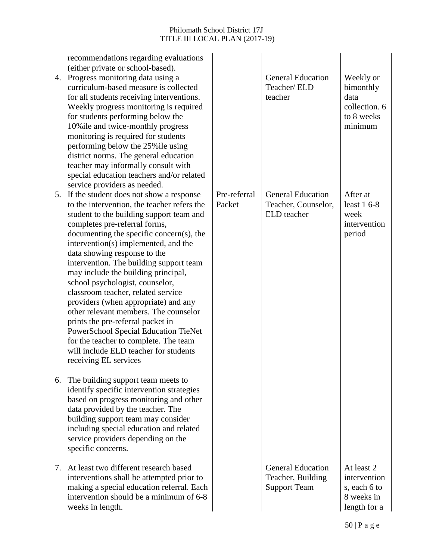| recommendations regarding evaluations<br>(either private or school-based).<br>Progress monitoring data using a<br>4.<br>curriculum-based measure is collected<br>for all students receiving interventions.<br>Weekly progress monitoring is required<br>for students performing below the<br>10% ile and twice-monthly progress<br>monitoring is required for students<br>performing below the 25% ile using<br>district norms. The general education<br>teacher may informally consult with<br>special education teachers and/or related<br>service providers as needed.                                                                                                                                                         |                        | <b>General Education</b><br>Teacher/ ELD<br>teacher                  | Weekly or<br>bimonthly<br>data<br>collection. 6<br>to 8 weeks<br>minimum |
|-----------------------------------------------------------------------------------------------------------------------------------------------------------------------------------------------------------------------------------------------------------------------------------------------------------------------------------------------------------------------------------------------------------------------------------------------------------------------------------------------------------------------------------------------------------------------------------------------------------------------------------------------------------------------------------------------------------------------------------|------------------------|----------------------------------------------------------------------|--------------------------------------------------------------------------|
| If the student does not show a response<br>5.<br>to the intervention, the teacher refers the<br>student to the building support team and<br>completes pre-referral forms,<br>documenting the specific concern(s), the<br>intervention(s) implemented, and the<br>data showing response to the<br>intervention. The building support team<br>may include the building principal,<br>school psychologist, counselor,<br>classroom teacher, related service<br>providers (when appropriate) and any<br>other relevant members. The counselor<br>prints the pre-referral packet in<br>PowerSchool Special Education TieNet<br>for the teacher to complete. The team<br>will include ELD teacher for students<br>receiving EL services | Pre-referral<br>Packet | <b>General Education</b><br>Teacher, Counselor,<br>ELD teacher       | After at<br>least $16-8$<br>week<br>intervention<br>period               |
| 6. The building support team meets to<br>identify specific intervention strategies<br>based on progress monitoring and other<br>data provided by the teacher. The<br>building support team may consider<br>including special education and related<br>service providers depending on the<br>specific concerns.                                                                                                                                                                                                                                                                                                                                                                                                                    |                        |                                                                      |                                                                          |
| At least two different research based<br>7.<br>interventions shall be attempted prior to<br>making a special education referral. Each<br>intervention should be a minimum of 6-8<br>weeks in length.                                                                                                                                                                                                                                                                                                                                                                                                                                                                                                                              |                        | <b>General Education</b><br>Teacher, Building<br><b>Support Team</b> | At least 2<br>intervention<br>s, each 6 to<br>8 weeks in<br>length for a |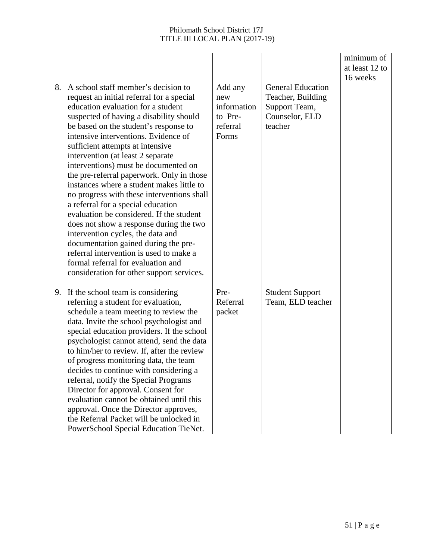| 8. | A school staff member's decision to<br>request an initial referral for a special<br>education evaluation for a student<br>suspected of having a disability should<br>be based on the student's response to<br>intensive interventions. Evidence of<br>sufficient attempts at intensive<br>intervention (at least 2 separate<br>interventions) must be documented on<br>the pre-referral paperwork. Only in those<br>instances where a student makes little to<br>no progress with these interventions shall<br>a referral for a special education<br>evaluation be considered. If the student<br>does not show a response during the two<br>intervention cycles, the data and<br>documentation gained during the pre-<br>referral intervention is used to make a<br>formal referral for evaluation and<br>consideration for other support services. | Add any<br>new<br>information<br>to Pre-<br>referral<br>Forms | <b>General Education</b><br>Teacher, Building<br>Support Team,<br>Counselor, ELD<br>teacher | minimum of<br>at least 12 to<br>16 weeks |  |
|----|-----------------------------------------------------------------------------------------------------------------------------------------------------------------------------------------------------------------------------------------------------------------------------------------------------------------------------------------------------------------------------------------------------------------------------------------------------------------------------------------------------------------------------------------------------------------------------------------------------------------------------------------------------------------------------------------------------------------------------------------------------------------------------------------------------------------------------------------------------|---------------------------------------------------------------|---------------------------------------------------------------------------------------------|------------------------------------------|--|
| 9. | If the school team is considering<br>referring a student for evaluation,<br>schedule a team meeting to review the<br>data. Invite the school psychologist and<br>special education providers. If the school<br>psychologist cannot attend, send the data<br>to him/her to review. If, after the review<br>of progress monitoring data, the team<br>decides to continue with considering a<br>referral, notify the Special Programs<br>Director for approval. Consent for<br>evaluation cannot be obtained until this<br>approval. Once the Director approves,<br>the Referral Packet will be unlocked in<br>PowerSchool Special Education TieNet.                                                                                                                                                                                                   | Pre-<br>Referral<br>packet                                    | <b>Student Support</b><br>Team, ELD teacher                                                 |                                          |  |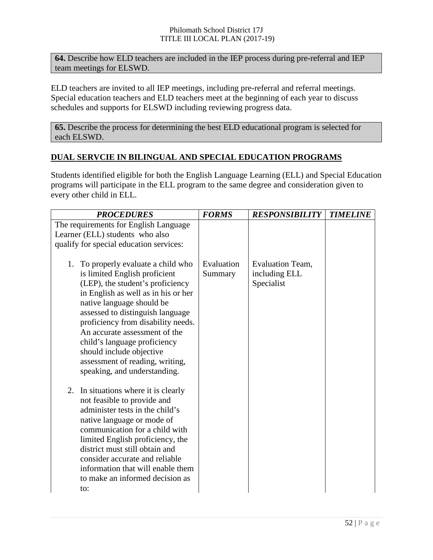**64.** Describe how ELD teachers are included in the IEP process during pre-referral and IEP team meetings for ELSWD.

ELD teachers are invited to all IEP meetings, including pre-referral and referral meetings. Special education teachers and ELD teachers meet at the beginning of each year to discuss schedules and supports for ELSWD including reviewing progress data.

**65.** Describe the process for determining the best ELD educational program is selected for each ELSWD.

#### **DUAL SERVCIE IN BILINGUAL AND SPECIAL EDUCATION PROGRAMS**

Students identified eligible for both the English Language Learning (ELL) and Special Education programs will participate in the ELL program to the same degree and consideration given to every other child in ELL.

| <b>PROCEDURES</b>                                                                                                                                                                                                                                                                                                                                                                                                      | <b>FORMS</b>          | <b>RESPONSIBILITY</b>                           | <b>TIMELINE</b> |
|------------------------------------------------------------------------------------------------------------------------------------------------------------------------------------------------------------------------------------------------------------------------------------------------------------------------------------------------------------------------------------------------------------------------|-----------------------|-------------------------------------------------|-----------------|
| The requirements for English Language                                                                                                                                                                                                                                                                                                                                                                                  |                       |                                                 |                 |
| Learner (ELL) students who also                                                                                                                                                                                                                                                                                                                                                                                        |                       |                                                 |                 |
| qualify for special education services:                                                                                                                                                                                                                                                                                                                                                                                |                       |                                                 |                 |
| 1. To properly evaluate a child who<br>is limited English proficient<br>(LEP), the student's proficiency<br>in English as well as in his or her<br>native language should be<br>assessed to distinguish language<br>proficiency from disability needs.<br>An accurate assessment of the<br>child's language proficiency<br>should include objective<br>assessment of reading, writing,<br>speaking, and understanding. | Evaluation<br>Summary | Evaluation Team,<br>including ELL<br>Specialist |                 |
| In situations where it is clearly<br>2.<br>not feasible to provide and<br>administer tests in the child's<br>native language or mode of<br>communication for a child with<br>limited English proficiency, the<br>district must still obtain and<br>consider accurate and reliable<br>information that will enable them<br>to make an informed decision as<br>to:                                                       |                       |                                                 |                 |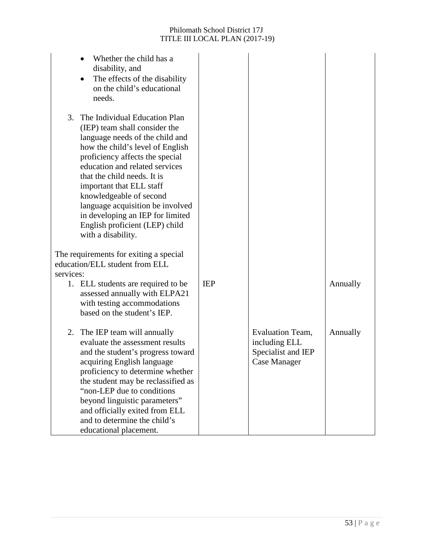| Whether the child has a<br>disability, and<br>The effects of the disability<br>on the child's educational<br>needs.                                                                                                                                                                                                                                                                                                                    |            |                                                                         |          |
|----------------------------------------------------------------------------------------------------------------------------------------------------------------------------------------------------------------------------------------------------------------------------------------------------------------------------------------------------------------------------------------------------------------------------------------|------------|-------------------------------------------------------------------------|----------|
| The Individual Education Plan<br>3.<br>(IEP) team shall consider the<br>language needs of the child and<br>how the child's level of English<br>proficiency affects the special<br>education and related services<br>that the child needs. It is<br>important that ELL staff<br>knowledgeable of second<br>language acquisition be involved<br>in developing an IEP for limited<br>English proficient (LEP) child<br>with a disability. |            |                                                                         |          |
| The requirements for exiting a special<br>education/ELL student from ELL<br>services:                                                                                                                                                                                                                                                                                                                                                  |            |                                                                         |          |
| 1. ELL students are required to be<br>assessed annually with ELPA21<br>with testing accommodations<br>based on the student's IEP.                                                                                                                                                                                                                                                                                                      | <b>IEP</b> |                                                                         | Annually |
| The IEP team will annually<br>2.<br>evaluate the assessment results<br>and the student's progress toward<br>acquiring English language<br>proficiency to determine whether<br>the student may be reclassified as<br>"non-LEP due to conditions<br>beyond linguistic parameters"<br>and officially exited from ELL<br>and to determine the child's<br>educational placement.                                                            |            | Evaluation Team,<br>including ELL<br>Specialist and IEP<br>Case Manager | Annually |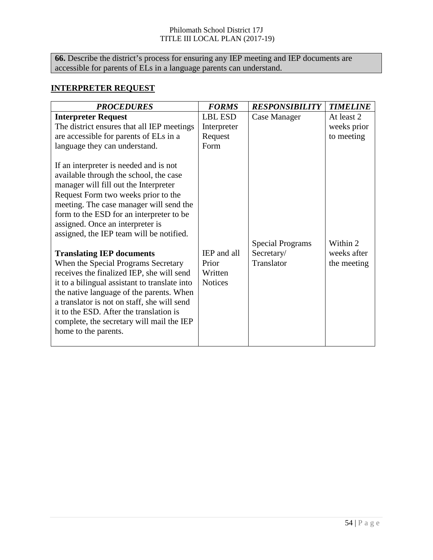**66.** Describe the district's process for ensuring any IEP meeting and IEP documents are accessible for parents of ELs in a language parents can understand.

#### **INTERPRETER REQUEST**

| <b>PROCEDURES</b>                                                                                                                                                                                                                                                                                                                                                           | <b>FORMS</b>                              | <b>RESPONSIBILITY</b>                 | <b>TIMELINE</b>                         |
|-----------------------------------------------------------------------------------------------------------------------------------------------------------------------------------------------------------------------------------------------------------------------------------------------------------------------------------------------------------------------------|-------------------------------------------|---------------------------------------|-----------------------------------------|
| <b>Interpreter Request</b><br>The district ensures that all IEP meetings<br>are accessible for parents of ELs in a<br>language they can understand.                                                                                                                                                                                                                         | LBL ESD<br>Interpreter<br>Request<br>Form | Case Manager                          | At least 2<br>weeks prior<br>to meeting |
| If an interpreter is needed and is not<br>available through the school, the case<br>manager will fill out the Interpreter<br>Request Form two weeks prior to the<br>meeting. The case manager will send the<br>form to the ESD for an interpreter to be<br>assigned. Once an interpreter is<br>assigned, the IEP team will be notified.<br><b>Translating IEP documents</b> | IEP and all                               | <b>Special Programs</b><br>Secretary/ | Within 2<br>weeks after                 |
| When the Special Programs Secretary<br>receives the finalized IEP, she will send<br>it to a bilingual assistant to translate into<br>the native language of the parents. When<br>a translator is not on staff, she will send<br>it to the ESD. After the translation is<br>complete, the secretary will mail the IEP<br>home to the parents.                                | Prior<br>Written<br><b>Notices</b>        | Translator                            | the meeting                             |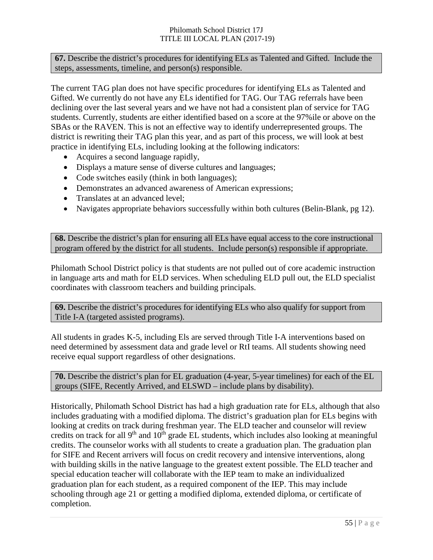**67.** Describe the district's procedures for identifying ELs as Talented and Gifted. Include the steps, assessments, timeline, and person(s) responsible.

The current TAG plan does not have specific procedures for identifying ELs as Talented and Gifted. We currently do not have any ELs identified for TAG. Our TAG referrals have been declining over the last several years and we have not had a consistent plan of service for TAG students. Currently, students are either identified based on a score at the 97%ile or above on the SBAs or the RAVEN. This is not an effective way to identify underrepresented groups. The district is rewriting their TAG plan this year, and as part of this process, we will look at best practice in identifying ELs, including looking at the following indicators:

- Acquires a second language rapidly,
- Displays a mature sense of diverse cultures and languages;
- Code switches easily (think in both languages);
- Demonstrates an advanced awareness of American expressions:
- Translates at an advanced level;
- Navigates appropriate behaviors successfully within both cultures (Belin-Blank, pg 12).

**68.** Describe the district's plan for ensuring all ELs have equal access to the core instructional program offered by the district for all students. Include person(s) responsible if appropriate.

Philomath School District policy is that students are not pulled out of core academic instruction in language arts and math for ELD services. When scheduling ELD pull out, the ELD specialist coordinates with classroom teachers and building principals.

**69.** Describe the district's procedures for identifying ELs who also qualify for support from Title I-A (targeted assisted programs).

All students in grades K-5, including Els are served through Title I-A interventions based on need determined by assessment data and grade level or RtI teams. All students showing need receive equal support regardless of other designations.

| <b>70.</b> Describe the district's plan for EL graduation (4-year, 5-year timelines) for each of the EL |
|---------------------------------------------------------------------------------------------------------|
| groups (SIFE, Recently Arrived, and ELSWD – include plans by disability).                               |

Historically, Philomath School District has had a high graduation rate for ELs, although that also includes graduating with a modified diploma. The district's graduation plan for ELs begins with looking at credits on track during freshman year. The ELD teacher and counselor will review credits on track for all  $9<sup>th</sup>$  and  $10<sup>th</sup>$  grade EL students, which includes also looking at meaningful credits. The counselor works with all students to create a graduation plan. The graduation plan for SIFE and Recent arrivers will focus on credit recovery and intensive interventions, along with building skills in the native language to the greatest extent possible. The ELD teacher and special education teacher will collaborate with the IEP team to make an individualized graduation plan for each student, as a required component of the IEP. This may include schooling through age 21 or getting a modified diploma, extended diploma, or certificate of completion.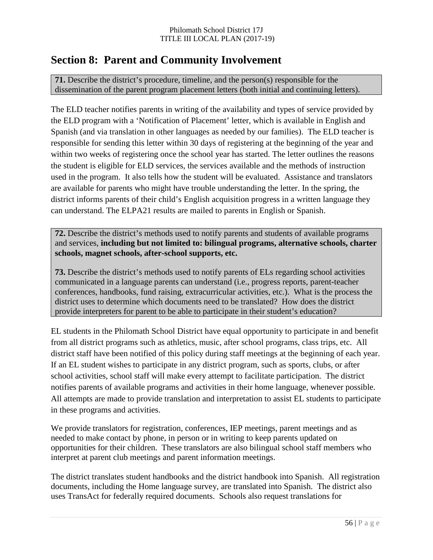# **Section 8: Parent and Community Involvement**

**71.** Describe the district's procedure, timeline, and the person(s) responsible for the dissemination of the parent program placement letters (both initial and continuing letters).

The ELD teacher notifies parents in writing of the availability and types of service provided by the ELD program with a 'Notification of Placement' letter, which is available in English and Spanish (and via translation in other languages as needed by our families). The ELD teacher is responsible for sending this letter within 30 days of registering at the beginning of the year and within two weeks of registering once the school year has started. The letter outlines the reasons the student is eligible for ELD services, the services available and the methods of instruction used in the program. It also tells how the student will be evaluated. Assistance and translators are available for parents who might have trouble understanding the letter. In the spring, the district informs parents of their child's English acquisition progress in a written language they can understand. The ELPA21 results are mailed to parents in English or Spanish.

**72.** Describe the district's methods used to notify parents and students of available programs and services, **including but not limited to: bilingual programs, alternative schools, charter schools, magnet schools, after-school supports, etc.**

**73.** Describe the district's methods used to notify parents of ELs regarding school activities communicated in a language parents can understand (i.e., progress reports, parent-teacher conferences, handbooks, fund raising, extracurricular activities, etc.). What is the process the district uses to determine which documents need to be translated? How does the district provide interpreters for parent to be able to participate in their student's education?

EL students in the Philomath School District have equal opportunity to participate in and benefit from all district programs such as athletics, music, after school programs, class trips, etc. All district staff have been notified of this policy during staff meetings at the beginning of each year. If an EL student wishes to participate in any district program, such as sports, clubs, or after school activities, school staff will make every attempt to facilitate participation. The district notifies parents of available programs and activities in their home language, whenever possible. All attempts are made to provide translation and interpretation to assist EL students to participate in these programs and activities.

We provide translators for registration, conferences, IEP meetings, parent meetings and as needed to make contact by phone, in person or in writing to keep parents updated on opportunities for their children. These translators are also bilingual school staff members who interpret at parent club meetings and parent information meetings.

The district translates student handbooks and the district handbook into Spanish. All registration documents, including the Home language survey, are translated into Spanish. The district also uses TransAct for federally required documents. Schools also request translations for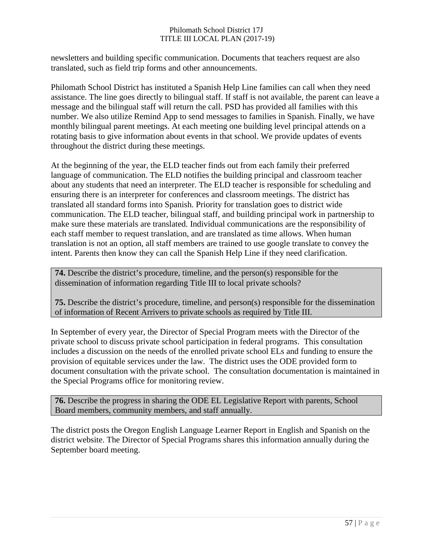newsletters and building specific communication. Documents that teachers request are also translated, such as field trip forms and other announcements.

Philomath School District has instituted a Spanish Help Line families can call when they need assistance. The line goes directly to bilingual staff. If staff is not available, the parent can leave a message and the bilingual staff will return the call. PSD has provided all families with this number. We also utilize Remind App to send messages to families in Spanish. Finally, we have monthly bilingual parent meetings. At each meeting one building level principal attends on a rotating basis to give information about events in that school. We provide updates of events throughout the district during these meetings.

At the beginning of the year, the ELD teacher finds out from each family their preferred language of communication. The ELD notifies the building principal and classroom teacher about any students that need an interpreter. The ELD teacher is responsible for scheduling and ensuring there is an interpreter for conferences and classroom meetings. The district has translated all standard forms into Spanish. Priority for translation goes to district wide communication. The ELD teacher, bilingual staff, and building principal work in partnership to make sure these materials are translated. Individual communications are the responsibility of each staff member to request translation, and are translated as time allows. When human translation is not an option, all staff members are trained to use google translate to convey the intent. Parents then know they can call the Spanish Help Line if they need clarification.

**74.** Describe the district's procedure, timeline, and the person(s) responsible for the dissemination of information regarding Title III to local private schools?

**75.** Describe the district's procedure, timeline, and person(s) responsible for the dissemination of information of Recent Arrivers to private schools as required by Title III.

In September of every year, the Director of Special Program meets with the Director of the private school to discuss private school participation in federal programs. This consultation includes a discussion on the needs of the enrolled private school ELs and funding to ensure the provision of equitable services under the law. The district uses the ODE provided form to document consultation with the private school. The consultation documentation is maintained in the Special Programs office for monitoring review.

**76.** Describe the progress in sharing the ODE EL Legislative Report with parents, School Board members, community members, and staff annually.

The district posts the Oregon English Language Learner Report in English and Spanish on the district website. The Director of Special Programs shares this information annually during the September board meeting.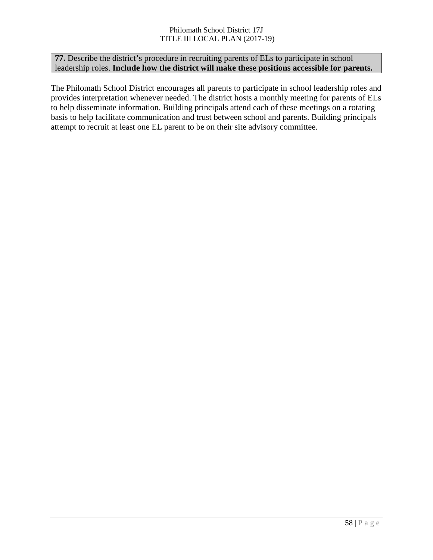**77.** Describe the district's procedure in recruiting parents of ELs to participate in school leadership roles. **Include how the district will make these positions accessible for parents.**

The Philomath School District encourages all parents to participate in school leadership roles and provides interpretation whenever needed. The district hosts a monthly meeting for parents of ELs to help disseminate information. Building principals attend each of these meetings on a rotating basis to help facilitate communication and trust between school and parents. Building principals attempt to recruit at least one EL parent to be on their site advisory committee.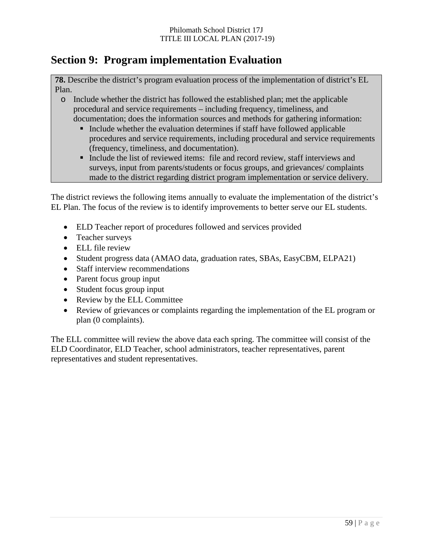# **Section 9: Program implementation Evaluation**

**78.** Describe the district's program evaluation process of the implementation of district's EL Plan.

- o Include whether the district has followed the established plan; met the applicable procedural and service requirements – including frequency, timeliness, and documentation; does the information sources and methods for gathering information:
	- Include whether the evaluation determines if staff have followed applicable procedures and service requirements, including procedural and service requirements (frequency, timeliness, and documentation).
	- Include the list of reviewed items: file and record review, staff interviews and surveys, input from parents/students or focus groups, and grievances/ complaints made to the district regarding district program implementation or service delivery.

The district reviews the following items annually to evaluate the implementation of the district's EL Plan. The focus of the review is to identify improvements to better serve our EL students.

- ELD Teacher report of procedures followed and services provided
- Teacher surveys
- ELL file review
- Student progress data (AMAO data, graduation rates, SBAs, EasyCBM, ELPA21)
- Staff interview recommendations
- Parent focus group input
- Student focus group input
- Review by the ELL Committee
- Review of grievances or complaints regarding the implementation of the EL program or plan (0 complaints).

The ELL committee will review the above data each spring. The committee will consist of the ELD Coordinator, ELD Teacher, school administrators, teacher representatives, parent representatives and student representatives.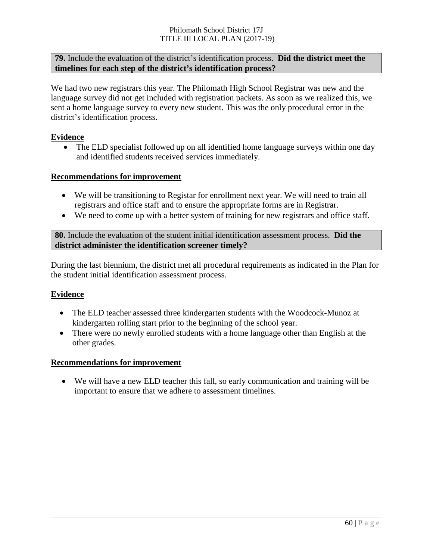#### **79.** Include the evaluation of the district's identification process. **Did the district meet the timelines for each step of the district's identification process?**

We had two new registrars this year. The Philomath High School Registrar was new and the language survey did not get included with registration packets. As soon as we realized this, we sent a home language survey to every new student. This was the only procedural error in the district's identification process.

#### **Evidence**

• The ELD specialist followed up on all identified home language surveys within one day and identified students received services immediately.

#### **Recommendations for improvement**

- We will be transitioning to Registar for enrollment next year. We will need to train all registrars and office staff and to ensure the appropriate forms are in Registrar.
- We need to come up with a better system of training for new registrars and office staff.

**80.** Include the evaluation of the student initial identification assessment process. **Did the district administer the identification screener timely?**

During the last biennium, the district met all procedural requirements as indicated in the Plan for the student initial identification assessment process.

#### **Evidence**

- The ELD teacher assessed three kindergarten students with the Woodcock-Munoz at kindergarten rolling start prior to the beginning of the school year.
- There were no newly enrolled students with a home language other than English at the other grades.

#### **Recommendations for improvement**

• We will have a new ELD teacher this fall, so early communication and training will be important to ensure that we adhere to assessment timelines.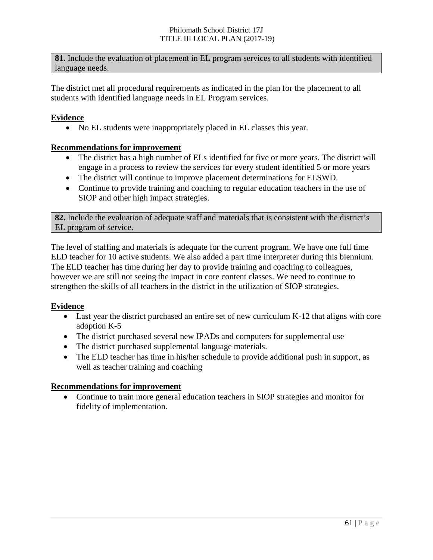**81.** Include the evaluation of placement in EL program services to all students with identified language needs.

The district met all procedural requirements as indicated in the plan for the placement to all students with identified language needs in EL Program services.

#### **Evidence**

• No EL students were inappropriately placed in EL classes this year.

#### **Recommendations for improvement**

- The district has a high number of ELs identified for five or more years. The district will engage in a process to review the services for every student identified 5 or more years
- The district will continue to improve placement determinations for ELSWD.
- Continue to provide training and coaching to regular education teachers in the use of SIOP and other high impact strategies.

**82.** Include the evaluation of adequate staff and materials that is consistent with the district's EL program of service.

The level of staffing and materials is adequate for the current program. We have one full time ELD teacher for 10 active students. We also added a part time interpreter during this biennium. The ELD teacher has time during her day to provide training and coaching to colleagues, however we are still not seeing the impact in core content classes. We need to continue to strengthen the skills of all teachers in the district in the utilization of SIOP strategies.

#### **Evidence**

- Last year the district purchased an entire set of new curriculum K-12 that aligns with core adoption K-5
- The district purchased several new IPADs and computers for supplemental use
- The district purchased supplemental language materials.
- The ELD teacher has time in his/her schedule to provide additional push in support, as well as teacher training and coaching

#### **Recommendations for improvement**

• Continue to train more general education teachers in SIOP strategies and monitor for fidelity of implementation.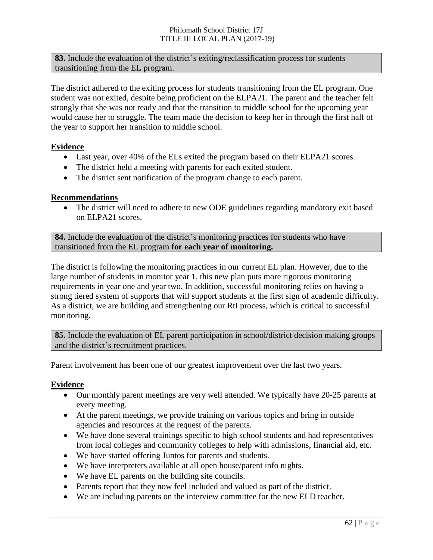**83.** Include the evaluation of the district's exiting/reclassification process for students transitioning from the EL program.

The district adhered to the exiting process for students transitioning from the EL program. One student was not exited, despite being proficient on the ELPA21. The parent and the teacher felt strongly that she was not ready and that the transition to middle school for the upcoming year would cause her to struggle. The team made the decision to keep her in through the first half of the year to support her transition to middle school.

#### **Evidence**

- Last year, over 40% of the ELs exited the program based on their ELPA21 scores.
- The district held a meeting with parents for each exited student.
- The district sent notification of the program change to each parent.

#### **Recommendations**

• The district will need to adhere to new ODE guidelines regarding mandatory exit based on ELPA21 scores.

**84.** Include the evaluation of the district's monitoring practices for students who have transitioned from the EL program **for each year of monitoring.**

The district is following the monitoring practices in our current EL plan. However, due to the large number of students in monitor year 1, this new plan puts more rigorous monitoring requirements in year one and year two. In addition, successful monitoring relies on having a strong tiered system of supports that will support students at the first sign of academic difficulty. As a district, we are building and strengthening our RtI process, which is critical to successful monitoring.

**85.** Include the evaluation of EL parent participation in school/district decision making groups and the district's recruitment practices.

Parent involvement has been one of our greatest improvement over the last two years.

#### **Evidence**

- Our monthly parent meetings are very well attended. We typically have 20-25 parents at every meeting.
- At the parent meetings, we provide training on various topics and bring in outside agencies and resources at the request of the parents.
- We have done several trainings specific to high school students and had representatives from local colleges and community colleges to help with admissions, financial aid, etc.
- We have started offering Juntos for parents and students.
- We have interpreters available at all open house/parent info nights.
- We have EL parents on the building site councils.
- Parents report that they now feel included and valued as part of the district.
- We are including parents on the interview committee for the new ELD teacher.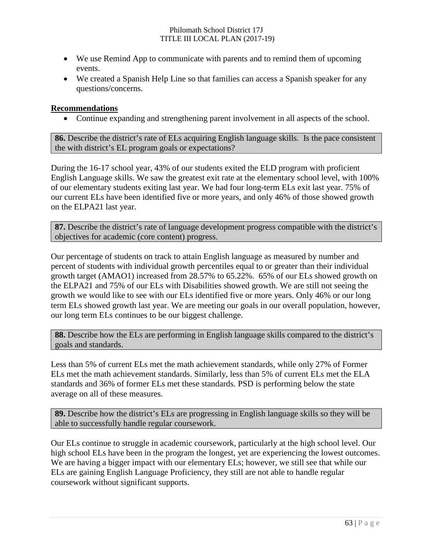- We use Remind App to communicate with parents and to remind them of upcoming events.
- We created a Spanish Help Line so that families can access a Spanish speaker for any questions/concerns.

#### **Recommendations**

• Continue expanding and strengthening parent involvement in all aspects of the school.

**86.** Describe the district's rate of ELs acquiring English language skills. Is the pace consistent the with district's EL program goals or expectations?

During the 16-17 school year, 43% of our students exited the ELD program with proficient English Language skills. We saw the greatest exit rate at the elementary school level, with 100% of our elementary students exiting last year. We had four long-term ELs exit last year. 75% of our current ELs have been identified five or more years, and only 46% of those showed growth on the ELPA21 last year.

**87.** Describe the district's rate of language development progress compatible with the district's objectives for academic (core content) progress.

Our percentage of students on track to attain English language as measured by number and percent of students with individual growth percentiles equal to or greater than their individual growth target (AMAO1) increased from 28.57% to 65.22%. 65% of our ELs showed growth on the ELPA21 and 75% of our ELs with Disabilities showed growth. We are still not seeing the growth we would like to see with our ELs identified five or more years. Only 46% or our long term ELs showed growth last year. We are meeting our goals in our overall population, however, our long term ELs continues to be our biggest challenge.

**88.** Describe how the ELs are performing in English language skills compared to the district's goals and standards.

Less than 5% of current ELs met the math achievement standards, while only 27% of Former ELs met the math achievement standards. Similarly, less than 5% of current ELs met the ELA standards and 36% of former ELs met these standards. PSD is performing below the state average on all of these measures.

**89.** Describe how the district's ELs are progressing in English language skills so they will be able to successfully handle regular coursework.

Our ELs continue to struggle in academic coursework, particularly at the high school level. Our high school ELs have been in the program the longest, yet are experiencing the lowest outcomes. We are having a bigger impact with our elementary ELs; however, we still see that while our ELs are gaining English Language Proficiency, they still are not able to handle regular coursework without significant supports.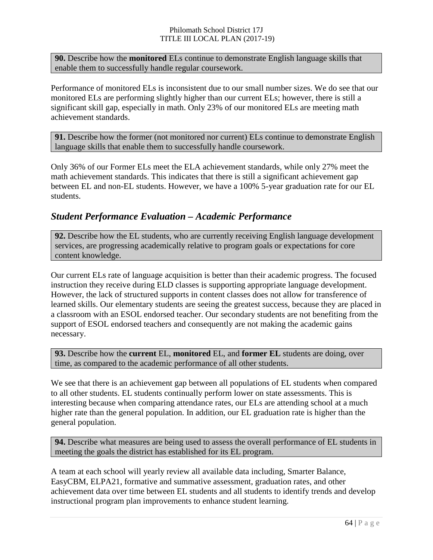**90.** Describe how the **monitored** ELs continue to demonstrate English language skills that enable them to successfully handle regular coursework.

Performance of monitored ELs is inconsistent due to our small number sizes. We do see that our monitored ELs are performing slightly higher than our current ELs; however, there is still a significant skill gap, especially in math. Only 23% of our monitored ELs are meeting math achievement standards.

**91.** Describe how the former (not monitored nor current) ELs continue to demonstrate English language skills that enable them to successfully handle coursework.

Only 36% of our Former ELs meet the ELA achievement standards, while only 27% meet the math achievement standards. This indicates that there is still a significant achievement gap between EL and non-EL students. However, we have a 100% 5-year graduation rate for our EL students.

#### *Student Performance Evaluation – Academic Performance*

**92.** Describe how the EL students, who are currently receiving English language development services, are progressing academically relative to program goals or expectations for core content knowledge.

Our current ELs rate of language acquisition is better than their academic progress. The focused instruction they receive during ELD classes is supporting appropriate language development. However, the lack of structured supports in content classes does not allow for transference of learned skills. Our elementary students are seeing the greatest success, because they are placed in a classroom with an ESOL endorsed teacher. Our secondary students are not benefiting from the support of ESOL endorsed teachers and consequently are not making the academic gains necessary.

**93.** Describe how the **current** EL, **monitored** EL, and **former EL** students are doing, over time, as compared to the academic performance of all other students.

We see that there is an achievement gap between all populations of EL students when compared to all other students. EL students continually perform lower on state assessments. This is interesting because when comparing attendance rates, our ELs are attending school at a much higher rate than the general population. In addition, our EL graduation rate is higher than the general population.

**94.** Describe what measures are being used to assess the overall performance of EL students in meeting the goals the district has established for its EL program.

A team at each school will yearly review all available data including, Smarter Balance, EasyCBM, ELPA21, formative and summative assessment, graduation rates, and other achievement data over time between EL students and all students to identify trends and develop instructional program plan improvements to enhance student learning.